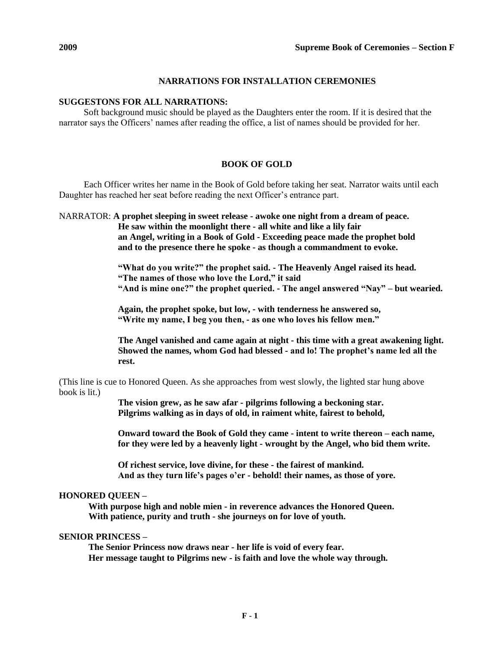# **NARRATIONS FOR INSTALLATION CEREMONIES**

# **SUGGESTONS FOR ALL NARRATIONS:**

Soft background music should be played as the Daughters enter the room. If it is desired that the narrator says the Officers' names after reading the office, a list of names should be provided for her.

# **BOOK OF GOLD**

Each Officer writes her name in the Book of Gold before taking her seat. Narrator waits until each Daughter has reached her seat before reading the next Officer's entrance part.

NARRATOR: **A prophet sleeping in sweet release - awoke one night from a dream of peace. He saw within the moonlight there - all white and like a lily fair**

**an Angel, writing in a Book of Gold - Exceeding peace made the prophet bold and to the presence there he spoke - as though a commandment to evoke.**

**"What do you write?" the prophet said. - The Heavenly Angel raised its head. "The names of those who love the Lord," it said "And is mine one?" the prophet queried. - The angel answered "Nay" – but wearied.**

**Again, the prophet spoke, but low, - with tenderness he answered so, "Write my name, I beg you then, - as one who loves his fellow men."**

**The Angel vanished and came again at night - this time with a great awakening light. Showed the names, whom God had blessed - and lo! The prophet's name led all the rest.**

(This line is cue to Honored Queen. As she approaches from west slowly, the lighted star hung above book is lit.)

> **The vision grew, as he saw afar - pilgrims following a beckoning star. Pilgrims walking as in days of old, in raiment white, fairest to behold,**

**Onward toward the Book of Gold they came - intent to write thereon – each name, for they were led by a heavenly light - wrought by the Angel, who bid them write.**

**Of richest service, love divine, for these - the fairest of mankind. And as they turn life's pages o'er - behold! their names, as those of yore.**

# **HONORED QUEEN –**

**With purpose high and noble mien - in reverence advances the Honored Queen. With patience, purity and truth - she journeys on for love of youth.**

# **SENIOR PRINCESS –**

**The Senior Princess now draws near - her life is void of every fear. Her message taught to Pilgrims new - is faith and love the whole way through.**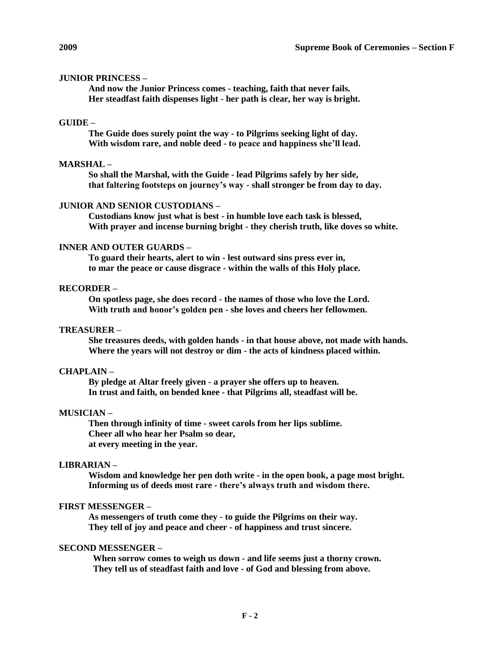## **JUNIOR PRINCESS –**

**And now the Junior Princess comes - teaching, faith that never fails. Her steadfast faith dispenses light - her path is clear, her way is bright.**

# **GUIDE –**

**The Guide does surely point the way - to Pilgrims seeking light of day. With wisdom rare, and noble deed - to peace and happiness she'll lead.**

## **MARSHAL –**

**So shall the Marshal, with the Guide - lead Pilgrims safely by her side, that faltering footsteps on journey's way - shall stronger be from day to day.**

#### **JUNIOR AND SENIOR CUSTODIANS –**

**Custodians know just what is best - in humble love each task is blessed, With prayer and incense burning bright - they cherish truth, like doves so white.**

## **INNER AND OUTER GUARDS –**

**To guard their hearts, alert to win - lest outward sins press ever in, to mar the peace or cause disgrace - within the walls of this Holy place.**

# **RECORDER –**

**On spotless page, she does record - the names of those who love the Lord. With truth and honor's golden pen - she loves and cheers her fellowmen.**

# **TREASURER –**

**She treasures deeds, with golden hands - in that house above, not made with hands. Where the years will not destroy or dim - the acts of kindness placed within.**

#### **CHAPLAIN –**

**By pledge at Altar freely given - a prayer she offers up to heaven. In trust and faith, on bended knee - that Pilgrims all, steadfast will be.**

#### **MUSICIAN –**

**Then through infinity of time - sweet carols from her lips sublime. Cheer all who hear her Psalm so dear, at every meeting in the year.**

#### **LIBRARIAN –**

**Wisdom and knowledge her pen doth write - in the open book, a page most bright. Informing us of deeds most rare - there's always truth and wisdom there.**

#### **FIRST MESSENGER –**

**As messengers of truth come they - to guide the Pilgrims on their way. They tell of joy and peace and cheer - of happiness and trust sincere.**

## **SECOND MESSENGER –**

**When sorrow comes to weigh us down - and life seems just a thorny crown. They tell us of steadfast faith and love - of God and blessing from above.**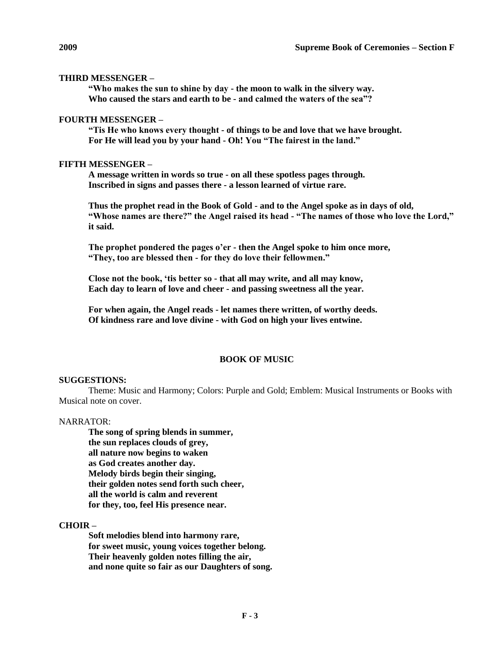## **THIRD MESSENGER –**

**"Who makes the sun to shine by day - the moon to walk in the silvery way. Who caused the stars and earth to be - and calmed the waters of the sea"?**

#### **FOURTH MESSENGER –**

**"Tis He who knows every thought - of things to be and love that we have brought. For He will lead you by your hand - Oh! You "The fairest in the land."**

# **FIFTH MESSENGER –**

**A message written in words so true - on all these spotless pages through. Inscribed in signs and passes there - a lesson learned of virtue rare.**

**Thus the prophet read in the Book of Gold - and to the Angel spoke as in days of old, "Whose names are there?" the Angel raised its head - "The names of those who love the Lord," it said.**

**The prophet pondered the pages o'er - then the Angel spoke to him once more, "They, too are blessed then - for they do love their fellowmen."**

**Close not the book, 'tis better so - that all may write, and all may know, Each day to learn of love and cheer - and passing sweetness all the year.**

**For when again, the Angel reads - let names there written, of worthy deeds. Of kindness rare and love divine - with God on high your lives entwine.**

#### **BOOK OF MUSIC**

#### **SUGGESTIONS:**

Theme: Music and Harmony; Colors: Purple and Gold; Emblem: Musical Instruments or Books with Musical note on cover.

#### NARRATOR:

**The song of spring blends in summer, the sun replaces clouds of grey, all nature now begins to waken as God creates another day. Melody birds begin their singing, their golden notes send forth such cheer, all the world is calm and reverent for they, too, feel His presence near.**

## **CHOIR –**

**Soft melodies blend into harmony rare, for sweet music, young voices together belong. Their heavenly golden notes filling the air, and none quite so fair as our Daughters of song.**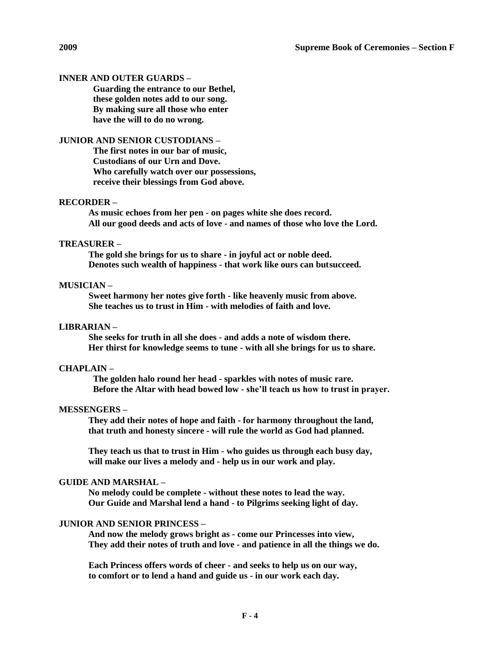## **INNER AND OUTER GUARDS –**

**Guarding the entrance to our Bethel, these golden notes add to our song. By making sure all those who enter have the will to do no wrong.**

# **JUNIOR AND SENIOR CUSTODIANS –**

**The first notes in our bar of music, Custodians of our Urn and Dove. Who carefully watch over our possessions, receive their blessings from God above.**

## **RECORDER –**

**As music echoes from her pen - on pages white she does record. All our good deeds and acts of love - and names of those who love the Lord.**

# **TREASURER –**

**The gold she brings for us to share - in joyful act or noble deed. Denotes such wealth of happiness - that work like ours can butsucceed.**

## **MUSICIAN –**

**Sweet harmony her notes give forth - like heavenly music from above. She teaches us to trust in Him - with melodies of faith and love.**

## **LIBRARIAN –**

**She seeks for truth in all she does - and adds a note of wisdom there. Her thirst for knowledge seems to tune - with all she brings for us to share.**

## **CHAPLAIN –**

**The golden halo round her head - sparkles with notes of music rare. Before the Altar with head bowed low - she'll teach us how to trust in prayer.**

#### **MESSENGERS –**

**They add their notes of hope and faith - for harmony throughout the land, that truth and honesty sincere - will rule the world as God had planned.**

**They teach us that to trust in Him - who guides us through each busy day, will make our lives a melody and - help us in our work and play.**

## **GUIDE AND MARSHAL –**

**No melody could be complete - without these notes to lead the way. Our Guide and Marshal lend a hand - to Pilgrims seeking light of day.**

# **JUNIOR AND SENIOR PRINCESS –**

**And now the melody grows bright as - come our Princesses into view, They add their notes of truth and love - and patience in all the things we do.**

**Each Princess offers words of cheer - and seeks to help us on our way, to comfort or to lend a hand and guide us - in our work each day.**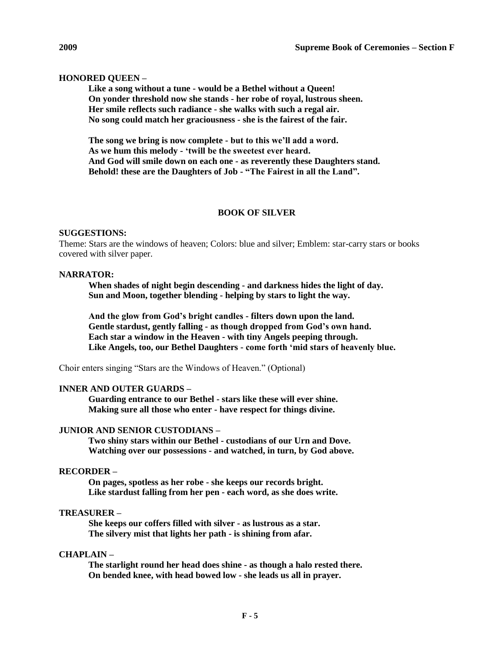# **HONORED QUEEN –**

**Like a song without a tune - would be a Bethel without a Queen! On yonder threshold now she stands - her robe of royal, lustrous sheen. Her smile reflects such radiance - she walks with such a regal air. No song could match her graciousness - she is the fairest of the fair.**

**The song we bring is now complete - but to this we'll add a word. As we hum this melody - 'twill be the sweetest ever heard. And God will smile down on each one - as reverently these Daughters stand. Behold! these are the Daughters of Job - "The Fairest in all the Land".**

# **BOOK OF SILVER**

#### **SUGGESTIONS:**

Theme: Stars are the windows of heaven; Colors: blue and silver; Emblem: star-carry stars or books covered with silver paper.

## **NARRATOR:**

**When shades of night begin descending - and darkness hides the light of day. Sun and Moon, together blending - helping by stars to light the way.**

**And the glow from God's bright candles - filters down upon the land. Gentle stardust, gently falling - as though dropped from God's own hand. Each star a window in the Heaven - with tiny Angels peeping through. Like Angels, too, our Bethel Daughters - come forth 'mid stars of heavenly blue.**

Choir enters singing "Stars are the Windows of Heaven." (Optional)

# **INNER AND OUTER GUARDS –**

**Guarding entrance to our Bethel - stars like these will ever shine. Making sure all those who enter - have respect for things divine.**

#### **JUNIOR AND SENIOR CUSTODIANS –**

**Two shiny stars within our Bethel - custodians of our Urn and Dove. Watching over our possessions - and watched, in turn, by God above.**

## **RECORDER –**

**On pages, spotless as her robe - she keeps our records bright. Like stardust falling from her pen - each word, as she does write.**

# **TREASURER –**

**She keeps our coffers filled with silver - as lustrous as a star. The silvery mist that lights her path - is shining from afar.**

# **CHAPLAIN –**

**The starlight round her head does shine - as though a halo rested there. On bended knee, with head bowed low - she leads us all in prayer.**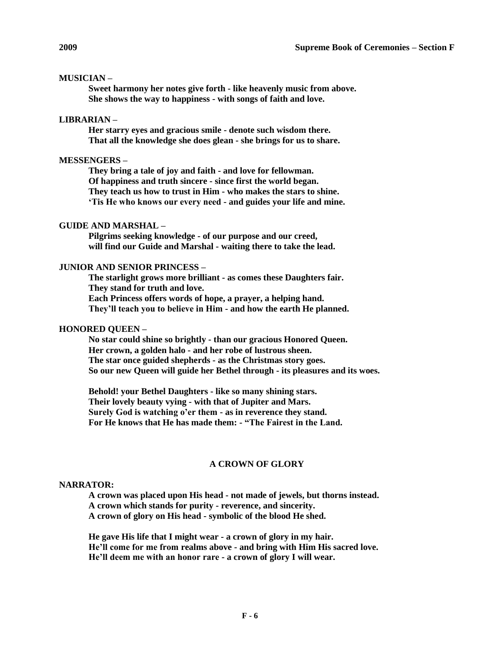# **MUSICIAN –**

**Sweet harmony her notes give forth - like heavenly music from above. She shows the way to happiness - with songs of faith and love.**

## **LIBRARIAN –**

**Her starry eyes and gracious smile - denote such wisdom there. That all the knowledge she does glean - she brings for us to share.**

## **MESSENGERS –**

**They bring a tale of joy and faith - and love for fellowman. Of happiness and truth sincere - since first the world began. They teach us how to trust in Him - who makes the stars to shine. 'Tis He who knows our every need - and guides your life and mine.**

# **GUIDE AND MARSHAL –**

**Pilgrims seeking knowledge - of our purpose and our creed, will find our Guide and Marshal - waiting there to take the lead.**

# **JUNIOR AND SENIOR PRINCESS –**

**The starlight grows more brilliant - as comes these Daughters fair. They stand for truth and love. Each Princess offers words of hope, a prayer, a helping hand. They'll teach you to believe in Him - and how the earth He planned.**

# **HONORED QUEEN –**

**No star could shine so brightly - than our gracious Honored Queen. Her crown, a golden halo - and her robe of lustrous sheen. The star once guided shepherds - as the Christmas story goes. So our new Queen will guide her Bethel through - its pleasures and its woes.**

**Behold! your Bethel Daughters - like so many shining stars. Their lovely beauty vying - with that of Jupiter and Mars. Surely God is watching o'er them - as in reverence they stand. For He knows that He has made them: - "The Fairest in the Land.**

# **A CROWN OF GLORY**

#### **NARRATOR:**

**A crown was placed upon His head - not made of jewels, but thorns instead. A crown which stands for purity - reverence, and sincerity. A crown of glory on His head - symbolic of the blood He shed.**

**He gave His life that I might wear - a crown of glory in my hair. He'll come for me from realms above - and bring with Him His sacred love. He'll deem me with an honor rare - a crown of glory I will wear.**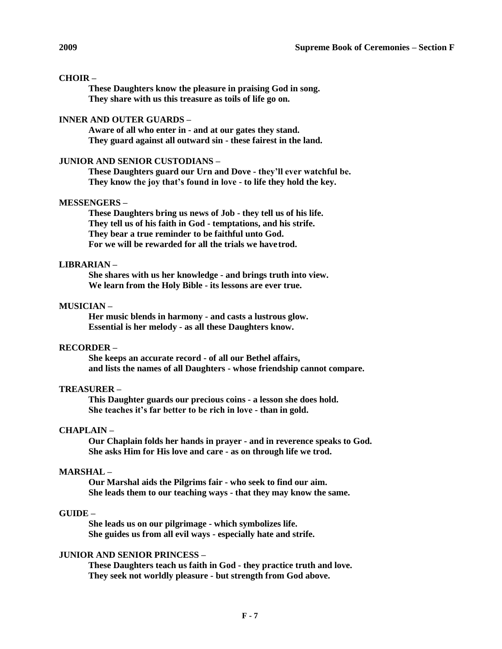# **CHOIR –**

**These Daughters know the pleasure in praising God in song. They share with us this treasure as toils of life go on.**

# **INNER AND OUTER GUARDS –**

**Aware of all who enter in - and at our gates they stand. They guard against all outward sin - these fairest in the land.**

### **JUNIOR AND SENIOR CUSTODIANS –**

**These Daughters guard our Urn and Dove - they'll ever watchful be. They know the joy that's found in love - to life they hold the key.**

# **MESSENGERS –**

**These Daughters bring us news of Job - they tell us of his life. They tell us of his faith in God - temptations, and his strife. They bear a true reminder to be faithful unto God. For we will be rewarded for all the trials we havetrod.**

## **LIBRARIAN –**

**She shares with us her knowledge - and brings truth into view. We learn from the Holy Bible - its lessons are ever true.**

# **MUSICIAN –**

**Her music blends in harmony - and casts a lustrous glow. Essential is her melody - as all these Daughters know.**

# **RECORDER –**

**She keeps an accurate record - of all our Bethel affairs, and lists the names of all Daughters - whose friendship cannot compare.**

# **TREASURER –**

**This Daughter guards our precious coins - a lesson she does hold. She teaches it's far better to be rich in love - than in gold.**

#### **CHAPLAIN –**

**Our Chaplain folds her hands in prayer - and in reverence speaks to God. She asks Him for His love and care - as on through life we trod.**

## **MARSHAL –**

**Our Marshal aids the Pilgrims fair - who seek to find our aim. She leads them to our teaching ways - that they may know the same.**

# **GUIDE –**

**She leads us on our pilgrimage - which symbolizes life. She guides us from all evil ways - especially hate and strife.**

# **JUNIOR AND SENIOR PRINCESS –**

**These Daughters teach us faith in God - they practice truth and love. They seek not worldly pleasure - but strength from God above.**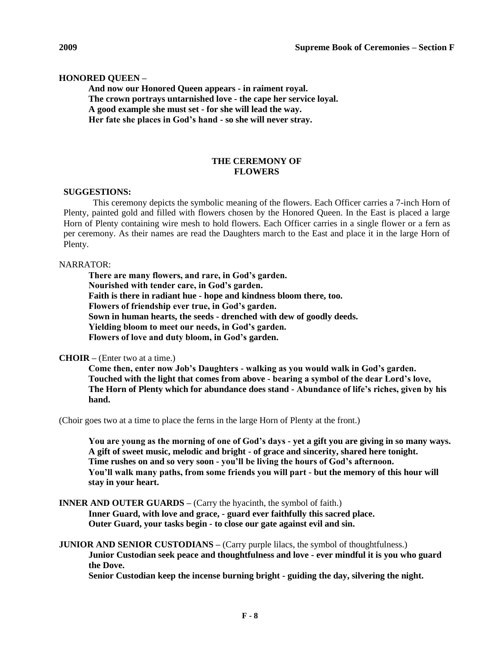## **HONORED QUEEN –**

**And now our Honored Queen appears - in raiment royal. The crown portrays untarnished love - the cape her service loyal. A good example she must set - for she will lead the way. Her fate she places in God's hand - so she will never stray.**

# **THE CEREMONY OF FLOWERS**

#### **SUGGESTIONS:**

This ceremony depicts the symbolic meaning of the flowers. Each Officer carries a 7-inch Horn of Plenty, painted gold and filled with flowers chosen by the Honored Queen. In the East is placed a large Horn of Plenty containing wire mesh to hold flowers. Each Officer carries in a single flower or a fern as per ceremony. As their names are read the Daughters march to the East and place it in the large Horn of Plenty.

#### NARRATOR:

**There are many flowers, and rare, in God's garden. Nourished with tender care, in God's garden. Faith is there in radiant hue - hope and kindness bloom there, too. Flowers of friendship ever true, in God's garden. Sown in human hearts, the seeds - drenched with dew of goodly deeds. Yielding bloom to meet our needs, in God's garden. Flowers of love and duty bloom, in God's garden.**

#### **CHOIR –** (Enter two at a time.)

**Come then, enter now Job's Daughters - walking as you would walk in God's garden. Touched with the light that comes from above - bearing a symbol of the dear Lord's love, The Horn of Plenty which for abundance does stand - Abundance of life's riches, given by his hand.**

(Choir goes two at a time to place the ferns in the large Horn of Plenty at the front.)

**You are young as the morning of one of God's days - yet a gift you are giving in so many ways. A gift of sweet music, melodic and bright - of grace and sincerity, shared here tonight. Time rushes on and so very soon - you'll be living the hours of God's afternoon. You'll walk many paths, from some friends you will part - but the memory of this hour will stay in your heart.**

**INNER AND OUTER GUARDS** – (Carry the hyacinth, the symbol of faith.)

**Inner Guard, with love and grace, - guard ever faithfully this sacred place. Outer Guard, your tasks begin - to close our gate against evil and sin.**

# **JUNIOR AND SENIOR CUSTODIANS** – (Carry purple lilacs, the symbol of thoughtfulness.) **Junior Custodian seek peace and thoughtfulness and love - ever mindful it is you who guard the Dove.**

**Senior Custodian keep the incense burning bright - guiding the day, silvering the night.**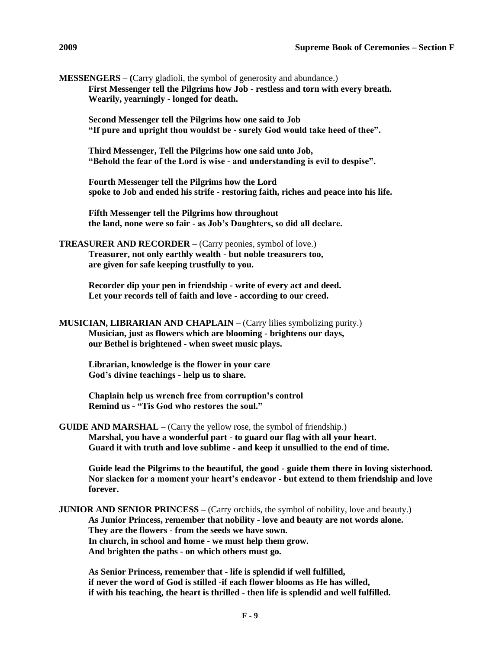**MESSENGERS – (**Carry gladioli, the symbol of generosity and abundance.) **First Messenger tell the Pilgrims how Job - restless and torn with every breath. Wearily, yearningly - longed for death.**

**Second Messenger tell the Pilgrims how one said to Job "If pure and upright thou wouldst be - surely God would take heed of thee".**

**Third Messenger, Tell the Pilgrims how one said unto Job, "Behold the fear of the Lord is wise - and understanding is evil to despise".**

**Fourth Messenger tell the Pilgrims how the Lord spoke to Job and ended his strife - restoring faith, riches and peace into his life.**

**Fifth Messenger tell the Pilgrims how throughout the land, none were so fair - as Job's Daughters, so did all declare.**

**TREASURER AND RECORDER –** (Carry peonies, symbol of love.) **Treasurer, not only earthly wealth - but noble treasurers too, are given for safe keeping trustfully to you.**

> **Recorder dip your pen in friendship - write of every act and deed. Let your records tell of faith and love - according to our creed.**

```
MUSICIAN, LIBRARIAN AND CHAPLAIN – (Carry lilies symbolizing purity.)
Musician, just as flowers which are blooming - brightens our days, 
our Bethel is brightened - when sweet music plays.
```
**Librarian, knowledge is the flower in your care God's divine teachings - help us to share.**

**Chaplain help us wrench free from corruption's control Remind us - "Tis God who restores the soul."**

**GUIDE AND MARSHAL –** (Carry the yellow rose, the symbol of friendship.) **Marshal, you have a wonderful part - to guard our flag with all your heart. Guard it with truth and love sublime - and keep it unsullied to the end of time.**

**Guide lead the Pilgrims to the beautiful, the good - guide them there in loving sisterhood. Nor slacken for a moment your heart's endeavor - but extend to them friendship and love forever.**

**JUNIOR AND SENIOR PRINCESS** – (Carry orchids, the symbol of nobility, love and beauty.) **As Junior Princess, remember that nobility - love and beauty are not words alone. They are the flowers - from the seeds we have sown. In church, in school and home - we must help them grow. And brighten the paths - on which others must go.**

**As Senior Princess, remember that - life is splendid if well fulfilled, if never the word of God is stilled -if each flower blooms as He has willed, if with his teaching, the heart is thrilled - then life is splendid and well fulfilled.**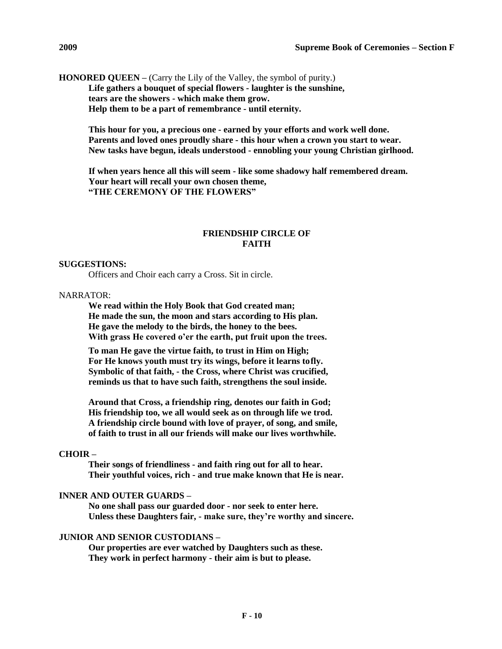**HONORED QUEEN –** (Carry the Lily of the Valley, the symbol of purity.) **Life gathers a bouquet of special flowers - laughter is the sunshine, tears are the showers - which make them grow. Help them to be a part of remembrance - until eternity.**

> **This hour for you, a precious one - earned by your efforts and work well done. Parents and loved ones proudly share - this hour when a crown you start to wear. New tasks have begun, ideals understood - ennobling your young Christian girlhood.**

**If when years hence all this will seem - like some shadowy half remembered dream. Your heart will recall your own chosen theme, "THE CEREMONY OF THE FLOWERS"**

# **FRIENDSHIP CIRCLE OF FAITH**

### **SUGGESTIONS:**

Officers and Choir each carry a Cross. Sit in circle.

#### NARRATOR:

**We read within the Holy Book that God created man; He made the sun, the moon and stars according to His plan. He gave the melody to the birds, the honey to the bees. With grass He covered o'er the earth, put fruit upon the trees.**

**To man He gave the virtue faith, to trust in Him on High; For He knows youth must try its wings, before it learns tofly. Symbolic of that faith, - the Cross, where Christ was crucified, reminds us that to have such faith, strengthens the soul inside.**

**Around that Cross, a friendship ring, denotes our faith in God; His friendship too, we all would seek as on through life we trod. A friendship circle bound with love of prayer, of song, and smile, of faith to trust in all our friends will make our lives worthwhile.**

#### **CHOIR –**

**Their songs of friendliness - and faith ring out for all to hear. Their youthful voices, rich - and true make known that He is near.**

# **INNER AND OUTER GUARDS –**

**No one shall pass our guarded door - nor seek to enter here. Unless these Daughters fair, - make sure, they're worthy and sincere.**

# **JUNIOR AND SENIOR CUSTODIANS –**

**Our properties are ever watched by Daughters such as these. They work in perfect harmony - their aim is but to please.**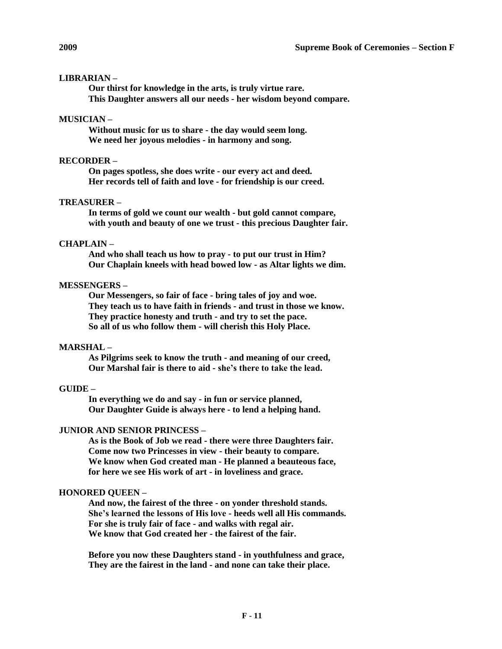# **LIBRARIAN –**

**Our thirst for knowledge in the arts, is truly virtue rare. This Daughter answers all our needs - her wisdom beyond compare.**

# **MUSICIAN –**

**Without music for us to share - the day would seem long. We need her joyous melodies - in harmony and song.**

# **RECORDER –**

**On pages spotless, she does write - our every act and deed. Her records tell of faith and love - for friendship is our creed.**

# **TREASURER –**

**In terms of gold we count our wealth - but gold cannot compare, with youth and beauty of one we trust - this precious Daughter fair.**

# **CHAPLAIN –**

**And who shall teach us how to pray - to put our trust in Him? Our Chaplain kneels with head bowed low - as Altar lights we dim.**

# **MESSENGERS –**

**Our Messengers, so fair of face - bring tales of joy and woe. They teach us to have faith in friends - and trust in those we know. They practice honesty and truth - and try to set the pace. So all of us who follow them - will cherish this Holy Place.**

# **MARSHAL –**

**As Pilgrims seek to know the truth - and meaning of our creed, Our Marshal fair is there to aid - she's there to take the lead.**

## **GUIDE –**

**In everything we do and say - in fun or service planned, Our Daughter Guide is always here - to lend a helping hand.**

#### **JUNIOR AND SENIOR PRINCESS –**

**As is the Book of Job we read - there were three Daughters fair. Come now two Princesses in view - their beauty to compare. We know when God created man - He planned a beauteous face, for here we see His work of art - in loveliness and grace.**

## **HONORED QUEEN –**

**And now, the fairest of the three - on yonder threshold stands. She's learned the lessons of His love - heeds well all His commands. For she is truly fair of face - and walks with regal air. We know that God created her - the fairest of the fair.**

**Before you now these Daughters stand - in youthfulness and grace, They are the fairest in the land - and none can take their place.**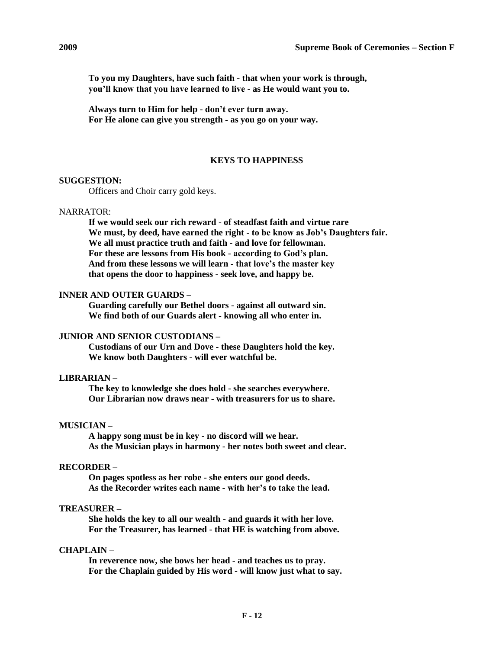**To you my Daughters, have such faith - that when your work is through, you'll know that you have learned to live - as He would want you to.**

**Always turn to Him for help - don't ever turn away. For He alone can give you strength - as you go on your way.**

#### **KEYS TO HAPPINESS**

# **SUGGESTION:**

Officers and Choir carry gold keys.

### NARRATOR:

**If we would seek our rich reward - of steadfast faith and virtue rare We must, by deed, have earned the right - to be know as Job's Daughters fair. We all must practice truth and faith - and love for fellowman. For these are lessons from His book - according to God's plan. And from these lessons we will learn - that love's the master key that opens the door to happiness - seek love, and happy be.**

## **INNER AND OUTER GUARDS –**

**Guarding carefully our Bethel doors - against all outward sin. We find both of our Guards alert - knowing all who enter in.**

## **JUNIOR AND SENIOR CUSTODIANS –**

**Custodians of our Urn and Dove - these Daughters hold the key. We know both Daughters - will ever watchful be.**

## **LIBRARIAN –**

**The key to knowledge she does hold - she searches everywhere. Our Librarian now draws near - with treasurers for us to share.**

#### **MUSICIAN –**

**A happy song must be in key - no discord will we hear. As the Musician plays in harmony - her notes both sweet and clear.**

#### **RECORDER –**

**On pages spotless as her robe - she enters our good deeds. As the Recorder writes each name - with her's to take the lead.**

# **TREASURER –**

**She holds the key to all our wealth - and guards it with her love. For the Treasurer, has learned - that HE is watching from above.**

#### **CHAPLAIN –**

**In reverence now, she bows her head - and teaches us to pray. For the Chaplain guided by His word - will know just what to say.**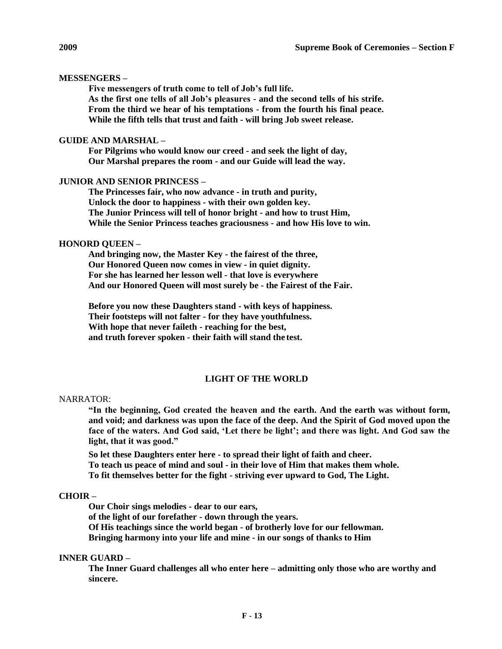# **MESSENGERS –**

**Five messengers of truth come to tell of Job's full life. As the first one tells of all Job's pleasures - and the second tells of his strife. From the third we hear of his temptations - from the fourth his final peace. While the fifth tells that trust and faith - will bring Job sweet release.**

# **GUIDE AND MARSHAL –**

**For Pilgrims who would know our creed - and seek the light of day, Our Marshal prepares the room - and our Guide will lead the way.**

# **JUNIOR AND SENIOR PRINCESS –**

**The Princesses fair, who now advance - in truth and purity, Unlock the door to happiness - with their own golden key. The Junior Princess will tell of honor bright - and how to trust Him, While the Senior Princess teaches graciousness - and how His love to win.**

# **HONORD QUEEN –**

**And bringing now, the Master Key - the fairest of the three, Our Honored Queen now comes in view - in quiet dignity. For she has learned her lesson well - that love is everywhere And our Honored Queen will most surely be - the Fairest of the Fair.**

**Before you now these Daughters stand - with keys of happiness. Their footsteps will not falter - for they have youthfulness. With hope that never faileth - reaching for the best, and truth forever spoken - their faith will stand the test.**

# **LIGHT OF THE WORLD**

# NARRATOR:

**"In the beginning, God created the heaven and the earth. And the earth was without form, and void; and darkness was upon the face of the deep. And the Spirit of God moved upon the face of the waters. And God said, 'Let there be light'; and there was light. And God saw the light, that it was good."**

**So let these Daughters enter here - to spread their light of faith and cheer. To teach us peace of mind and soul - in their love of Him that makes them whole. To fit themselves better for the fight - striving ever upward to God, The Light.**

# **CHOIR –**

**Our Choir sings melodies - dear to our ears,**

**of the light of our forefather - down through the years.**

**Of His teachings since the world began - of brotherly love for our fellowman.** 

**Bringing harmony into your life and mine - in our songs of thanks to Him**

# **INNER GUARD –**

**The Inner Guard challenges all who enter here – admitting only those who are worthy and sincere.**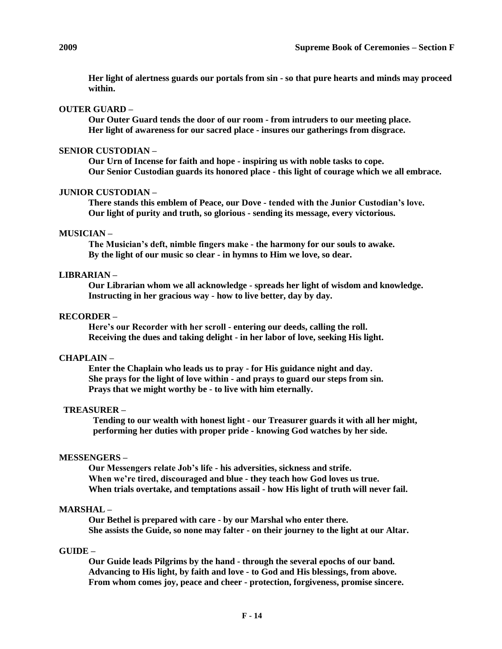**Her light of alertness guards our portals from sin - so that pure hearts and minds may proceed within.**

## **OUTER GUARD –**

**Our Outer Guard tends the door of our room - from intruders to our meeting place. Her light of awareness for our sacred place - insures our gatherings from disgrace.**

# **SENIOR CUSTODIAN –**

**Our Urn of Incense for faith and hope - inspiring us with noble tasks to cope. Our Senior Custodian guards its honored place - this light of courage which we all embrace.**

#### **JUNIOR CUSTODIAN –**

**There stands this emblem of Peace, our Dove - tended with the Junior Custodian's love. Our light of purity and truth, so glorious - sending its message, every victorious.**

#### **MUSICIAN –**

**The Musician's deft, nimble fingers make - the harmony for our souls to awake. By the light of our music so clear - in hymns to Him we love, so dear.**

## **LIBRARIAN –**

**Our Librarian whom we all acknowledge - spreads her light of wisdom and knowledge. Instructing in her gracious way - how to live better, day by day.**

# **RECORDER –**

**Here's our Recorder with her scroll - entering our deeds, calling the roll. Receiving the dues and taking delight - in her labor of love, seeking His light.**

#### **CHAPLAIN –**

**Enter the Chaplain who leads us to pray - for His guidance night and day. She prays for the light of love within - and prays to guard our steps from sin. Prays that we might worthy be - to live with him eternally.**

# **TREASURER –**

**Tending to our wealth with honest light - our Treasurer guards it with all her might, performing her duties with proper pride - knowing God watches by her side.**

#### **MESSENGERS –**

**Our Messengers relate Job's life - his adversities, sickness and strife. When we're tired, discouraged and blue - they teach how God loves us true. When trials overtake, and temptations assail - how His light of truth will never fail.**

## **MARSHAL –**

**Our Bethel is prepared with care - by our Marshal who enter there. She assists the Guide, so none may falter - on their journey to the light at our Altar.**

#### **GUIDE –**

**Our Guide leads Pilgrims by the hand - through the several epochs of our band. Advancing to His light, by faith and love - to God and His blessings, from above. From whom comes joy, peace and cheer - protection, forgiveness, promise sincere.**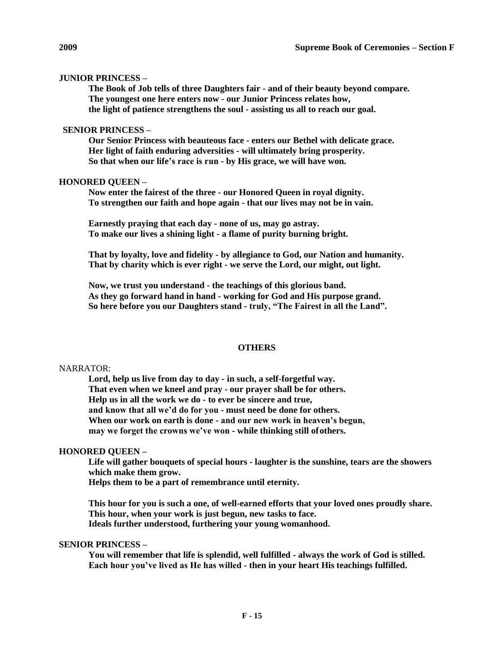# **JUNIOR PRINCESS –**

**The Book of Job tells of three Daughters fair - and of their beauty beyond compare. The youngest one here enters now - our Junior Princess relates how, the light of patience strengthens the soul - assisting us all to reach our goal.**

# **SENIOR PRINCESS –**

**Our Senior Princess with beauteous face - enters our Bethel with delicate grace. Her light of faith enduring adversities - will ultimately bring prosperity. So that when our life's race is run - by His grace, we will have won.**

# **HONORED QUEEN –**

**Now enter the fairest of the three - our Honored Queen in royal dignity. To strengthen our faith and hope again - that our lives may not be in vain.**

**Earnestly praying that each day - none of us, may go astray. To make our lives a shining light - a flame of purity burning bright.**

**That by loyalty, love and fidelity - by allegiance to God, our Nation and humanity. That by charity which is ever right - we serve the Lord, our might, out light.**

**Now, we trust you understand - the teachings of this glorious band. As they go forward hand in hand - working for God and His purpose grand. So here before you our Daughters stand - truly, "The Fairest in all the Land".**

# **OTHERS**

# NARRATOR:

**Lord, help us live from day to day - in such, a self-forgetful way. That even when we kneel and pray - our prayer shall be for others. Help us in all the work we do - to ever be sincere and true, and know that all we'd do for you - must need be done for others. When our work on earth is done - and our new work in heaven's begun, may we forget the crowns we've won - while thinking still ofothers.**

# **HONORED QUEEN –**

**Life will gather bouquets of special hours - laughter is the sunshine, tears are the showers which make them grow.**

**Helps them to be a part of remembrance until eternity.**

**This hour for you is such a one, of well-earned efforts that your loved ones proudly share. This hour, when your work is just begun, new tasks to face. Ideals further understood, furthering your young womanhood.**

# **SENIOR PRINCESS –**

**You will remember that life is splendid, well fulfilled - always the work of God is stilled. Each hour you've lived as He has willed - then in your heart His teachings fulfilled.**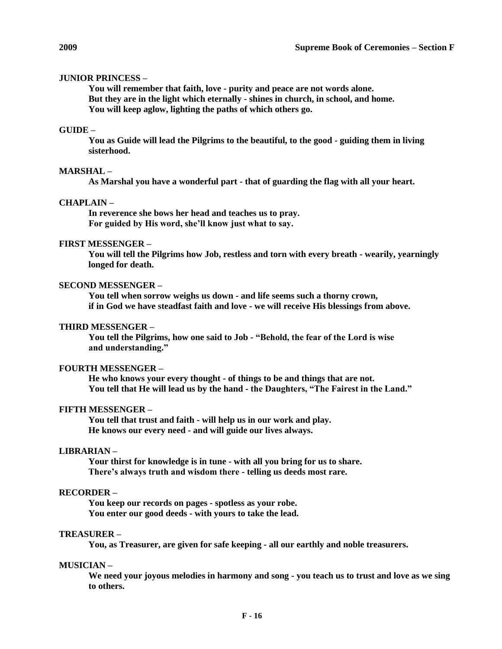# **JUNIOR PRINCESS –**

**You will remember that faith, love - purity and peace are not words alone. But they are in the light which eternally - shines in church, in school, and home. You will keep aglow, lighting the paths of which others go.**

#### **GUIDE –**

**You as Guide will lead the Pilgrims to the beautiful, to the good - guiding them in living sisterhood.**

#### **MARSHAL –**

**As Marshal you have a wonderful part - that of guarding the flag with all your heart.**

# **CHAPLAIN –**

**In reverence she bows her head and teaches us to pray. For guided by His word, she'll know just what to say.**

# **FIRST MESSENGER –**

**You will tell the Pilgrims how Job, restless and torn with every breath - wearily, yearningly longed for death.**

# **SECOND MESSENGER –**

**You tell when sorrow weighs us down - and life seems such a thorny crown, if in God we have steadfast faith and love - we will receive His blessings from above.**

## **THIRD MESSENGER –**

**You tell the Pilgrims, how one said to Job - "Behold, the fear of the Lord is wise and understanding."**

#### **FOURTH MESSENGER –**

**He who knows your every thought - of things to be and things that are not. You tell that He will lead us by the hand - the Daughters, "The Fairest in the Land."**

#### **FIFTH MESSENGER –**

**You tell that trust and faith - will help us in our work and play. He knows our every need - and will guide our lives always.**

# **LIBRARIAN –**

**Your thirst for knowledge is in tune - with all you bring for us to share. There's always truth and wisdom there - telling us deeds most rare.**

# **RECORDER –**

**You keep our records on pages - spotless as your robe. You enter our good deeds - with yours to take the lead.**

#### **TREASURER –**

**You, as Treasurer, are given for safe keeping - all our earthly and noble treasurers.**

#### **MUSICIAN –**

**We need your joyous melodies in harmony and song - you teach us to trust and love as we sing to others.**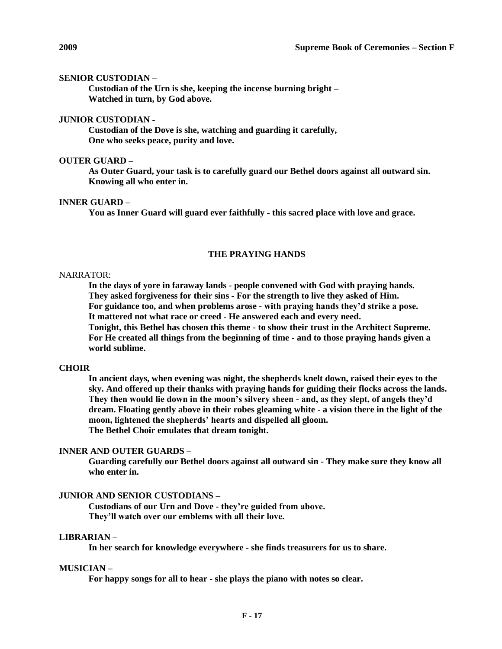## **SENIOR CUSTODIAN –**

**Custodian of the Urn is she, keeping the incense burning bright – Watched in turn, by God above.**

## **JUNIOR CUSTODIAN -**

**Custodian of the Dove is she, watching and guarding it carefully, One who seeks peace, purity and love.**

## **OUTER GUARD –**

**As Outer Guard, your task is to carefully guard our Bethel doors against all outward sin. Knowing all who enter in.**

# **INNER GUARD –**

**You as Inner Guard will guard ever faithfully - this sacred place with love and grace.**

# **THE PRAYING HANDS**

## NARRATOR:

**In the days of yore in faraway lands - people convened with God with praying hands. They asked forgiveness for their sins - For the strength to live they asked of Him. For guidance too, and when problems arose - with praying hands they'd strike a pose. It mattered not what race or creed - He answered each and every need. Tonight, this Bethel has chosen this theme - to show their trust in the Architect Supreme. For He created all things from the beginning of time - and to those praying hands given a** 

**world sublime.**

#### **CHOIR**

**In ancient days, when evening was night, the shepherds knelt down, raised their eyes to the sky. And offered up their thanks with praying hands for guiding their flocks across the lands. They then would lie down in the moon's silvery sheen - and, as they slept, of angels they'd dream. Floating gently above in their robes gleaming white - a vision there in the light of the moon, lightened the shepherds' hearts and dispelled all gloom. The Bethel Choir emulates that dream tonight.**

# **INNER AND OUTER GUARDS –**

**Guarding carefully our Bethel doors against all outward sin - They make sure they know all who enter in.**

# **JUNIOR AND SENIOR CUSTODIANS –**

**Custodians of our Urn and Dove - they're guided from above. They'll watch over our emblems with all their love.**

## **LIBRARIAN –**

**In her search for knowledge everywhere - she finds treasurers for us to share.**

#### **MUSICIAN –**

**For happy songs for all to hear - she plays the piano with notes so clear.**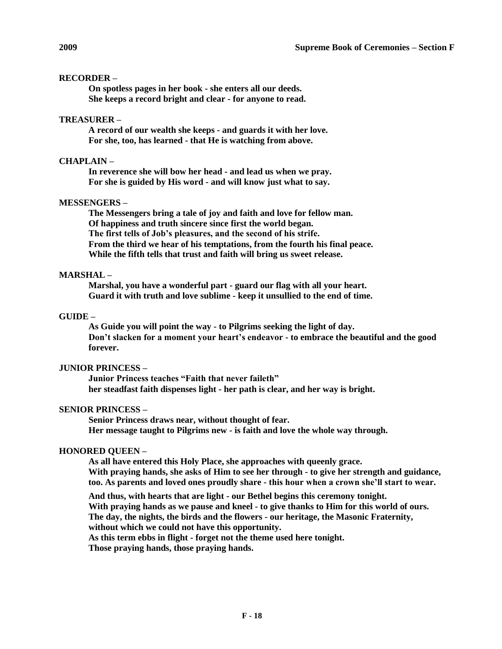# **RECORDER –**

**On spotless pages in her book - she enters all our deeds. She keeps a record bright and clear - for anyone to read.**

# **TREASURER –**

**A record of our wealth she keeps - and guards it with her love. For she, too, has learned - that He is watching from above.**

# **CHAPLAIN –**

**In reverence she will bow her head - and lead us when we pray. For she is guided by His word - and will know just what to say.**

# **MESSENGERS –**

**The Messengers bring a tale of joy and faith and love for fellow man. Of happiness and truth sincere since first the world began. The first tells of Job's pleasures, and the second of his strife. From the third we hear of his temptations, from the fourth his final peace. While the fifth tells that trust and faith will bring us sweet release.**

# **MARSHAL –**

**Marshal, you have a wonderful part - guard our flag with all your heart. Guard it with truth and love sublime - keep it unsullied to the end of time.**

# **GUIDE –**

**As Guide you will point the way - to Pilgrims seeking the light of day. Don't slacken for a moment your heart's endeavor - to embrace the beautiful and the good forever.**

# **JUNIOR PRINCESS –**

**Junior Princess teaches "Faith that never faileth" her steadfast faith dispenses light - her path is clear, and her way is bright.**

# **SENIOR PRINCESS –**

**Senior Princess draws near, without thought of fear. Her message taught to Pilgrims new - is faith and love the whole way through.**

# **HONORED QUEEN –**

**As all have entered this Holy Place, she approaches with queenly grace. With praying hands, she asks of Him to see her through - to give her strength and guidance, too. As parents and loved ones proudly share - this hour when a crown she'll start to wear.**

**And thus, with hearts that are light - our Bethel begins this ceremony tonight. With praying hands as we pause and kneel - to give thanks to Him for this world of ours. The day, the nights, the birds and the flowers - our heritage, the Masonic Fraternity, without which we could not have this opportunity.**

**As this term ebbs in flight - forget not the theme used here tonight.** 

**Those praying hands, those praying hands.**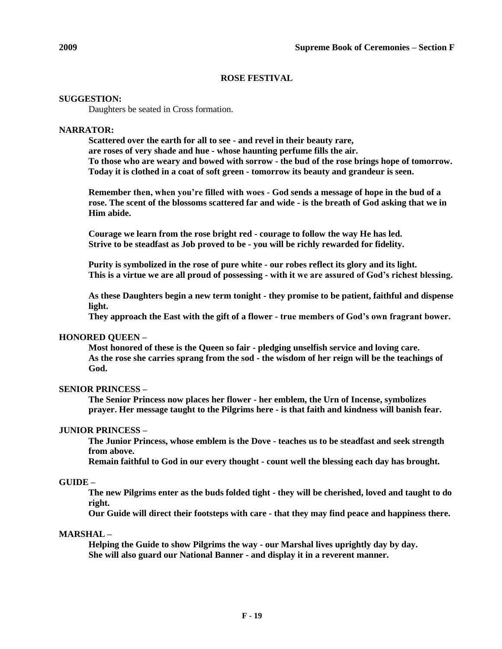# **ROSE FESTIVAL**

# **SUGGESTION:**

Daughters be seated in Cross formation.

# **NARRATOR:**

**Scattered over the earth for all to see - and revel in their beauty rare, are roses of very shade and hue - whose haunting perfume fills the air. To those who are weary and bowed with sorrow - the bud of the rose brings hope of tomorrow. Today it is clothed in a coat of soft green - tomorrow its beauty and grandeur is seen.**

**Remember then, when you're filled with woes - God sends a message of hope in the bud of a rose. The scent of the blossoms scattered far and wide - is the breath of God asking that we in Him abide.**

**Courage we learn from the rose bright red - courage to follow the way He has led. Strive to be steadfast as Job proved to be - you will be richly rewarded for fidelity.**

**Purity is symbolized in the rose of pure white - our robes reflect its glory and its light. This is a virtue we are all proud of possessing - with it we are assured of God's richest blessing.**

**As these Daughters begin a new term tonight - they promise to be patient, faithful and dispense light.**

**They approach the East with the gift of a flower - true members of God's own fragrant bower.**

# **HONORED QUEEN –**

**Most honored of these is the Queen so fair - pledging unselfish service and loving care. As the rose she carries sprang from the sod - the wisdom of her reign will be the teachings of God.**

# **SENIOR PRINCESS –**

**The Senior Princess now places her flower - her emblem, the Urn of Incense, symbolizes prayer. Her message taught to the Pilgrims here - is that faith and kindness will banish fear.**

# **JUNIOR PRINCESS –**

**The Junior Princess, whose emblem is the Dove - teaches us to be steadfast and seek strength from above.**

**Remain faithful to God in our every thought - count well the blessing each day has brought.**

# **GUIDE –**

**The new Pilgrims enter as the buds folded tight - they will be cherished, loved and taught to do right.**

**Our Guide will direct their footsteps with care - that they may find peace and happiness there.**

# **MARSHAL –**

**Helping the Guide to show Pilgrims the way - our Marshal lives uprightly day by day. She will also guard our National Banner - and display it in a reverent manner.**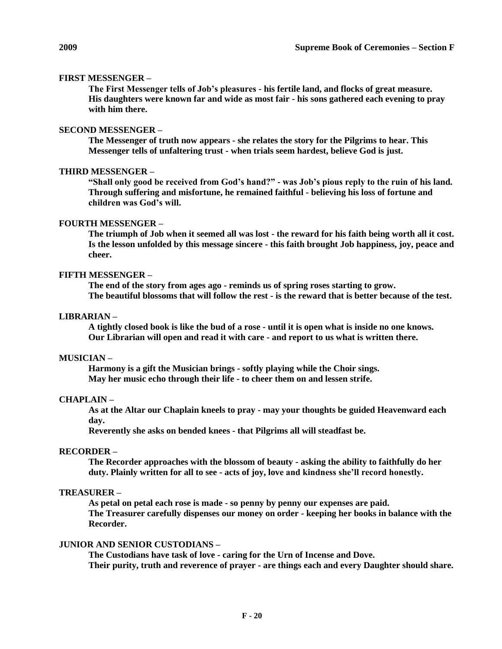## **FIRST MESSENGER –**

**The First Messenger tells of Job's pleasures - his fertile land, and flocks of great measure. His daughters were known far and wide as most fair - his sons gathered each evening to pray with him there.**

## **SECOND MESSENGER –**

**The Messenger of truth now appears - she relates the story for the Pilgrims to hear. This Messenger tells of unfaltering trust - when trials seem hardest, believe God is just.**

#### **THIRD MESSENGER –**

**"Shall only good be received from God's hand?" - was Job's pious reply to the ruin of his land. Through suffering and misfortune, he remained faithful - believing his loss of fortune and children was God's will.**

## **FOURTH MESSENGER –**

**The triumph of Job when it seemed all was lost - the reward for his faith being worth all it cost. Is the lesson unfolded by this message sincere - this faith brought Job happiness, joy, peace and cheer.**

# **FIFTH MESSENGER –**

**The end of the story from ages ago - reminds us of spring roses starting to grow. The beautiful blossoms that will follow the rest - is the reward that is better because of the test.**

# **LIBRARIAN –**

**A tightly closed book is like the bud of a rose - until it is open what is inside no one knows. Our Librarian will open and read it with care - and report to us what is written there.**

#### **MUSICIAN –**

**Harmony is a gift the Musician brings - softly playing while the Choir sings. May her music echo through their life - to cheer them on and lessen strife.**

#### **CHAPLAIN –**

**As at the Altar our Chaplain kneels to pray - may your thoughts be guided Heavenward each day.**

**Reverently she asks on bended knees - that Pilgrims all will steadfast be.**

# **RECORDER –**

**The Recorder approaches with the blossom of beauty - asking the ability to faithfully do her duty. Plainly written for all to see - acts of joy, love and kindness she'll record honestly.**

# **TREASURER –**

**As petal on petal each rose is made - so penny by penny our expenses are paid. The Treasurer carefully dispenses our money on order - keeping her books in balance with the Recorder.**

# **JUNIOR AND SENIOR CUSTODIANS –**

**The Custodians have task of love - caring for the Urn of Incense and Dove. Their purity, truth and reverence of prayer - are things each and every Daughter should share.**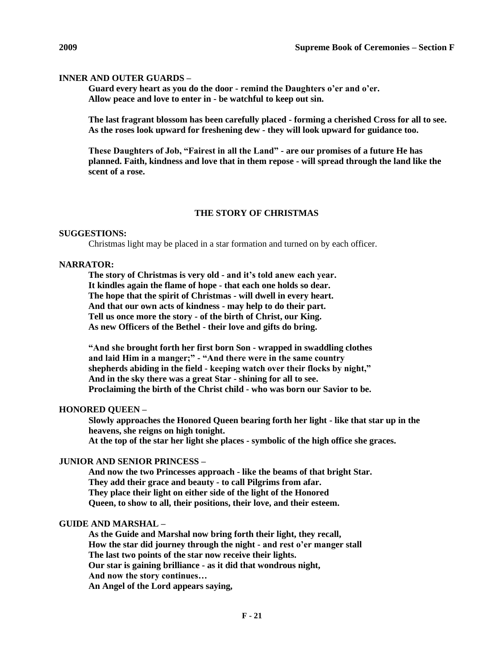# **INNER AND OUTER GUARDS –**

**Guard every heart as you do the door - remind the Daughters o'er and o'er. Allow peace and love to enter in - be watchful to keep out sin.**

**The last fragrant blossom has been carefully placed - forming a cherished Cross for all to see. As the roses look upward for freshening dew - they will look upward for guidance too.**

**These Daughters of Job, "Fairest in all the Land" - are our promises of a future He has planned. Faith, kindness and love that in them repose - will spread through the land like the scent of a rose.**

# **THE STORY OF CHRISTMAS**

### **SUGGESTIONS:**

Christmas light may be placed in a star formation and turned on by each officer.

### **NARRATOR:**

**The story of Christmas is very old - and it's told anew each year. It kindles again the flame of hope - that each one holds so dear. The hope that the spirit of Christmas - will dwell in every heart. And that our own acts of kindness - may help to do their part. Tell us once more the story - of the birth of Christ, our King. As new Officers of the Bethel - their love and gifts do bring.**

**"And she brought forth her first born Son - wrapped in swaddling clothes and laid Him in a manger;" - "And there were in the same country shepherds abiding in the field - keeping watch over their flocks by night," And in the sky there was a great Star - shining for all to see. Proclaiming the birth of the Christ child - who was born our Savior to be.**

# **HONORED QUEEN –**

**Slowly approaches the Honored Queen bearing forth her light - like that star up in the heavens, she reigns on high tonight. At the top of the star her light she places - symbolic of the high office she graces.**

# **JUNIOR AND SENIOR PRINCESS –**

**And now the two Princesses approach - like the beams of that bright Star. They add their grace and beauty - to call Pilgrims from afar. They place their light on either side of the light of the Honored Queen, to show to all, their positions, their love, and their esteem.**

## **GUIDE AND MARSHAL –**

**As the Guide and Marshal now bring forth their light, they recall, How the star did journey through the night - and rest o'er manger stall The last two points of the star now receive their lights. Our star is gaining brilliance - as it did that wondrous night, And now the story continues… An Angel of the Lord appears saying,**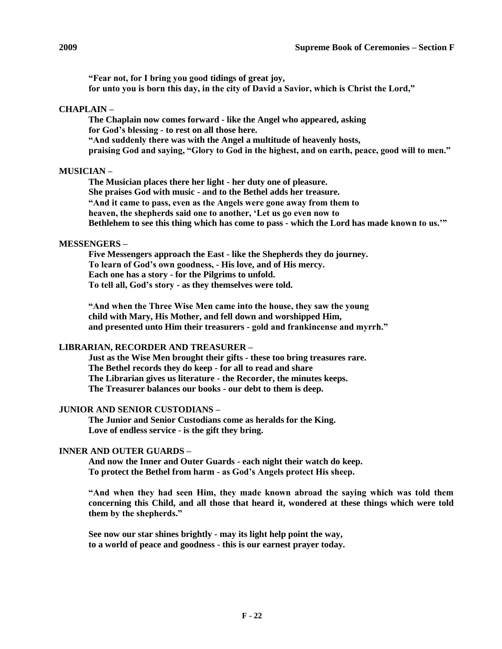**"Fear not, for I bring you good tidings of great joy, for unto you is born this day, in the city of David a Savior, which is Christ the Lord,"**

# **CHAPLAIN –**

**The Chaplain now comes forward - like the Angel who appeared, asking for God's blessing - to rest on all those here. "And suddenly there was with the Angel a multitude of heavenly hosts, praising God and saying, "Glory to God in the highest, and on earth, peace, good will to men."**

## **MUSICIAN –**

**The Musician places there her light - her duty one of pleasure. She praises God with music - and to the Bethel adds her treasure. "And it came to pass, even as the Angels were gone away from them to heaven, the shepherds said one to another, 'Let us go even now to Bethlehem to see this thing which has come to pass - which the Lord has made known to us.'"**

### **MESSENGERS –**

**Five Messengers approach the East - like the Shepherds they do journey. To learn of God's own goodness, - His love, and of His mercy. Each one has a story - for the Pilgrims to unfold. To tell all, God's story - as they themselves were told.**

**"And when the Three Wise Men came into the house, they saw the young child with Mary, His Mother, and fell down and worshipped Him, and presented unto Him their treasurers - gold and frankincense and myrrh."**

# **LIBRARIAN, RECORDER AND TREASURER –**

**Just as the Wise Men brought their gifts - these too bring treasures rare. The Bethel records they do keep - for all to read and share The Librarian gives us literature - the Recorder, the minutes keeps. The Treasurer balances our books - our debt to them is deep.**

#### **JUNIOR AND SENIOR CUSTODIANS –**

**The Junior and Senior Custodians come as heralds for the King. Love of endless service - is the gift they bring.**

# **INNER AND OUTER GUARDS –**

**And now the Inner and Outer Guards - each night their watch do keep. To protect the Bethel from harm - as God's Angels protect His sheep.**

**"And when they had seen Him, they made known abroad the saying which was told them concerning this Child, and all those that heard it, wondered at these things which were told them by the shepherds."**

**See now our star shines brightly - may its light help point the way, to a world of peace and goodness - this is our earnest prayer today.**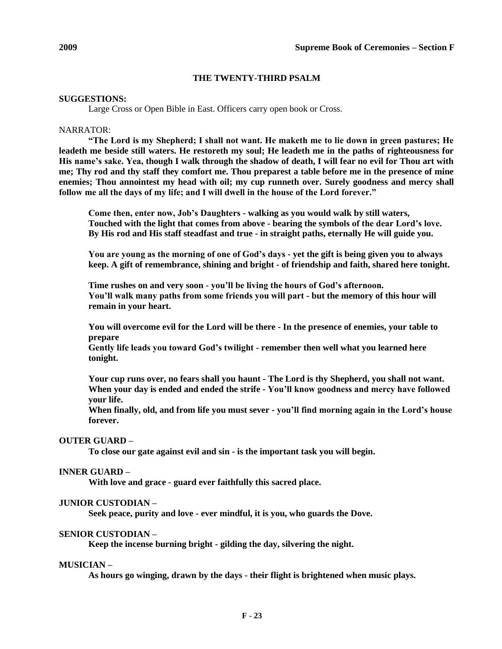# **THE TWENTY-THIRD PSALM**

## **SUGGESTIONS:**

Large Cross or Open Bible in East. Officers carry open book or Cross.

### NARRATOR:

**"The Lord is my Shepherd; I shall not want. He maketh me to lie down in green pastures; He leadeth me beside still waters. He restoreth my soul; He leadeth me in the paths of righteousness for His name's sake. Yea, though I walk through the shadow of death, I will fear no evil for Thou art with me; Thy rod and thy staff they comfort me. Thou preparest a table before me in the presence of mine enemies; Thou annointest my head with oil; my cup runneth over. Surely goodness and mercy shall follow me all the days of my life; and I will dwell in the house of the Lord forever."**

**Come then, enter now, Job's Daughters - walking as you would walk by still waters, Touched with the light that comes from above - bearing the symbols of the dear Lord's love. By His rod and His staff steadfast and true - in straight paths, eternally He will guide you.**

**You are young as the morning of one of God's days - yet the gift is being given you to always keep. A gift of remembrance, shining and bright - of friendship and faith, shared here tonight.**

**Time rushes on and very soon - you'll be living the hours of God's afternoon. You'll walk many paths from some friends you will part - but the memory of this hour will remain in your heart.**

**You will overcome evil for the Lord will be there - In the presence of enemies, your table to prepare**

**Gently life leads you toward God's twilight - remember then well what you learned here tonight.**

**Your cup runs over, no fears shall you haunt - The Lord is thy Shepherd, you shall not want. When your day is ended and ended the strife - You'll know goodness and mercy have followed your life.**

**When finally, old, and from life you must sever - you'll find morning again in the Lord's house forever.**

## **OUTER GUARD –**

**To close our gate against evil and sin - is the important task you will begin.**

#### **INNER GUARD –**

**With love and grace - guard ever faithfully this sacred place.**

#### **JUNIOR CUSTODIAN –**

**Seek peace, purity and love - ever mindful, it is you, who guards the Dove.**

## **SENIOR CUSTODIAN –**

**Keep the incense burning bright - gilding the day, silvering the night.**

#### **MUSICIAN –**

**As hours go winging, drawn by the days - their flight is brightened when music plays.**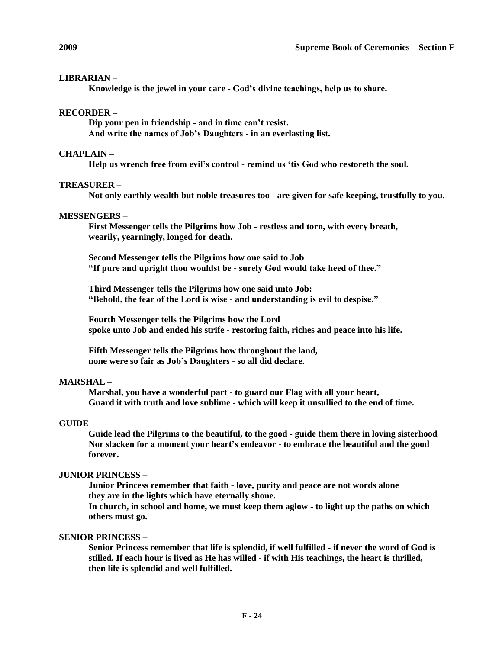# **LIBRARIAN –**

**Knowledge is the jewel in your care - God's divine teachings, help us to share.**

# **RECORDER –**

**Dip your pen in friendship - and in time can't resist. And write the names of Job's Daughters - in an everlasting list.**

# **CHAPLAIN –**

**Help us wrench free from evil's control - remind us 'tis God who restoreth the soul.**

# **TREASURER –**

**Not only earthly wealth but noble treasures too - are given for safe keeping, trustfully to you.**

# **MESSENGERS –**

**First Messenger tells the Pilgrims how Job - restless and torn, with every breath, wearily, yearningly, longed for death.**

**Second Messenger tells the Pilgrims how one said to Job "If pure and upright thou wouldst be - surely God would take heed of thee."**

**Third Messenger tells the Pilgrims how one said unto Job: "Behold, the fear of the Lord is wise - and understanding is evil to despise."**

**Fourth Messenger tells the Pilgrims how the Lord spoke unto Job and ended his strife - restoring faith, riches and peace into his life.**

**Fifth Messenger tells the Pilgrims how throughout the land, none were so fair as Job's Daughters - so all did declare.**

# **MARSHAL –**

**Marshal, you have a wonderful part - to guard our Flag with all your heart, Guard it with truth and love sublime - which will keep it unsullied to the end of time.**

# **GUIDE –**

**Guide lead the Pilgrims to the beautiful, to the good - guide them there in loving sisterhood Nor slacken for a moment your heart's endeavor - to embrace the beautiful and the good forever.**

# **JUNIOR PRINCESS –**

**Junior Princess remember that faith - love, purity and peace are not words alone they are in the lights which have eternally shone.**

**In church, in school and home, we must keep them aglow - to light up the paths on which others must go.**

# **SENIOR PRINCESS –**

**Senior Princess remember that life is splendid, if well fulfilled - if never the word of God is stilled. If each hour is lived as He has willed - if with His teachings, the heart is thrilled, then life is splendid and well fulfilled.**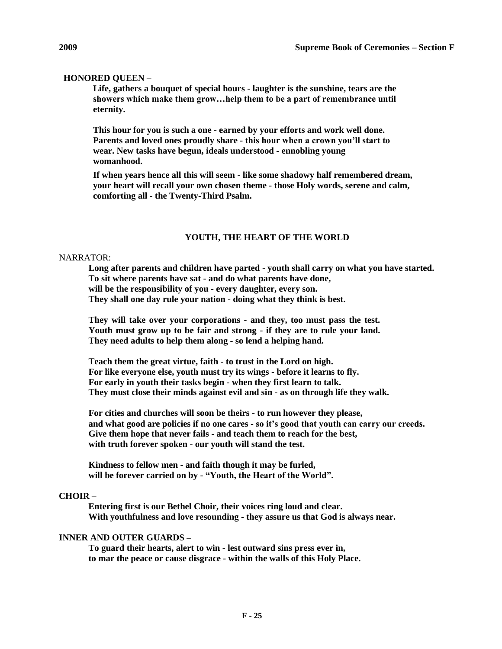# **HONORED QUEEN –**

**Life, gathers a bouquet of special hours - laughter is the sunshine, tears are the showers which make them grow…help them to be a part of remembrance until eternity.**

**This hour for you is such a one - earned by your efforts and work well done. Parents and loved ones proudly share - this hour when a crown you'll start to wear. New tasks have begun, ideals understood - ennobling young womanhood.**

**If when years hence all this will seem - like some shadowy half remembered dream, your heart will recall your own chosen theme - those Holy words, serene and calm, comforting all - the Twenty-Third Psalm.**

### **YOUTH, THE HEART OF THE WORLD**

#### NARRATOR:

**Long after parents and children have parted - youth shall carry on what you have started. To sit where parents have sat - and do what parents have done, will be the responsibility of you - every daughter, every son. They shall one day rule your nation - doing what they think is best.**

**They will take over your corporations - and they, too must pass the test. Youth must grow up to be fair and strong - if they are to rule your land. They need adults to help them along - so lend a helping hand.**

**Teach them the great virtue, faith - to trust in the Lord on high. For like everyone else, youth must try its wings - before it learns to fly. For early in youth their tasks begin - when they first learn to talk. They must close their minds against evil and sin - as on through life they walk.**

**For cities and churches will soon be theirs - to run however they please, and what good are policies if no one cares - so it's good that youth can carry our creeds. Give them hope that never fails - and teach them to reach for the best, with truth forever spoken - our youth will stand the test.**

**Kindness to fellow men - and faith though it may be furled, will be forever carried on by - "Youth, the Heart of the World".**

#### **CHOIR –**

**Entering first is our Bethel Choir, their voices ring loud and clear. With youthfulness and love resounding - they assure us that God is always near.**

## **INNER AND OUTER GUARDS –**

**To guard their hearts, alert to win - lest outward sins press ever in, to mar the peace or cause disgrace - within the walls of this Holy Place.**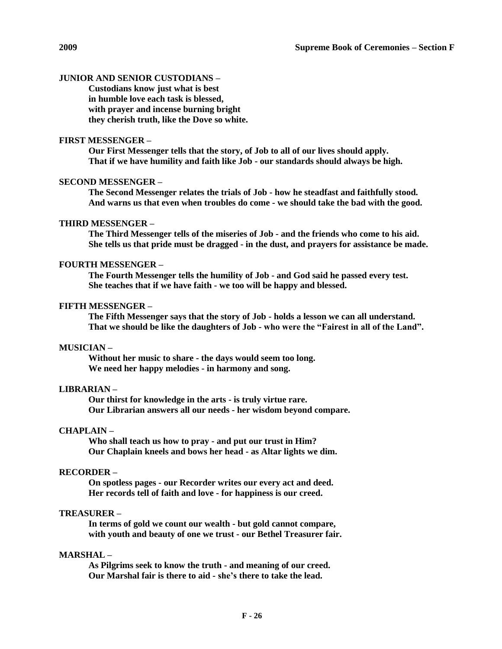## **JUNIOR AND SENIOR CUSTODIANS –**

**Custodians know just what is best in humble love each task is blessed, with prayer and incense burning bright they cherish truth, like the Dove so white.**

# **FIRST MESSENGER –**

**Our First Messenger tells that the story, of Job to all of our lives should apply. That if we have humility and faith like Job - our standards should always be high.**

#### **SECOND MESSENGER –**

**The Second Messenger relates the trials of Job - how he steadfast and faithfully stood. And warns us that even when troubles do come - we should take the bad with the good.**

## **THIRD MESSENGER –**

**The Third Messenger tells of the miseries of Job - and the friends who come to his aid. She tells us that pride must be dragged - in the dust, and prayers for assistance be made.**

#### **FOURTH MESSENGER –**

**The Fourth Messenger tells the humility of Job - and God said he passed every test. She teaches that if we have faith - we too will be happy and blessed.**

# **FIFTH MESSENGER –**

**The Fifth Messenger says that the story of Job - holds a lesson we can all understand. That we should be like the daughters of Job - who were the "Fairest in all of the Land".**

#### **MUSICIAN –**

**Without her music to share - the days would seem too long. We need her happy melodies - in harmony and song.**

#### **LIBRARIAN –**

**Our thirst for knowledge in the arts - is truly virtue rare. Our Librarian answers all our needs - her wisdom beyond compare.**

## **CHAPLAIN –**

**Who shall teach us how to pray - and put our trust in Him? Our Chaplain kneels and bows her head - as Altar lights we dim.**

# **RECORDER –**

**On spotless pages - our Recorder writes our every act and deed. Her records tell of faith and love - for happiness is our creed.**

## **TREASURER –**

**In terms of gold we count our wealth - but gold cannot compare, with youth and beauty of one we trust - our Bethel Treasurer fair.**

# **MARSHAL –**

**As Pilgrims seek to know the truth - and meaning of our creed. Our Marshal fair is there to aid - she's there to take the lead.**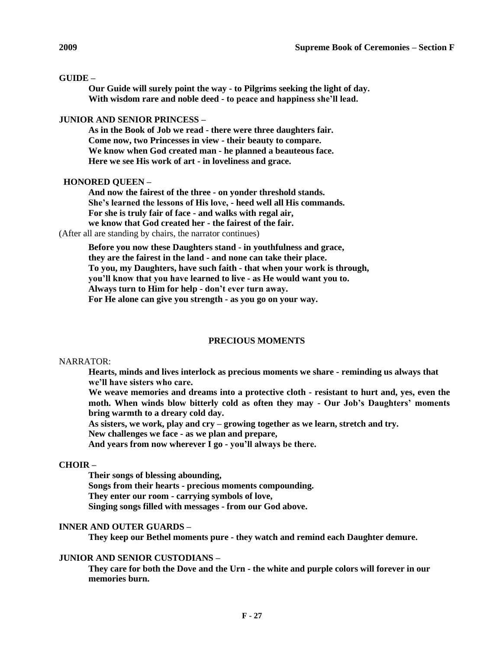# **GUIDE –**

**Our Guide will surely point the way - to Pilgrims seeking the light of day. With wisdom rare and noble deed - to peace and happiness she'll lead.**

# **JUNIOR AND SENIOR PRINCESS –**

**As in the Book of Job we read - there were three daughters fair. Come now, two Princesses in view - their beauty to compare. We know when God created man - he planned a beauteous face. Here we see His work of art - in loveliness and grace.**

# **HONORED QUEEN –**

**And now the fairest of the three - on yonder threshold stands. She's learned the lessons of His love, - heed well all His commands. For she is truly fair of face - and walks with regal air, we know that God created her - the fairest of the fair.**

(After all are standing by chairs, the narrator continues)

**Before you now these Daughters stand - in youthfulness and grace, they are the fairest in the land - and none can take their place. To you, my Daughters, have such faith - that when your work is through, you'll know that you have learned to live - as He would want you to. Always turn to Him for help - don't ever turn away. For He alone can give you strength - as you go on your way.**

# **PRECIOUS MOMENTS**

# NARRATOR:

**Hearts, minds and lives interlock as precious moments we share - reminding us always that we'll have sisters who care.**

**We weave memories and dreams into a protective cloth - resistant to hurt and, yes, even the moth. When winds blow bitterly cold as often they may - Our Job's Daughters' moments bring warmth to a dreary cold day.**

**As sisters, we work, play and cry – growing together as we learn, stretch and try.** 

**New challenges we face - as we plan and prepare,**

**And years from now wherever I go - you'll always be there.**

# **CHOIR –**

**Their songs of blessing abounding, Songs from their hearts - precious moments compounding. They enter our room - carrying symbols of love, Singing songs filled with messages - from our God above.**

# **INNER AND OUTER GUARDS –**

**They keep our Bethel moments pure - they watch and remind each Daughter demure.**

# **JUNIOR AND SENIOR CUSTODIANS –**

**They care for both the Dove and the Urn - the white and purple colors will forever in our memories burn.**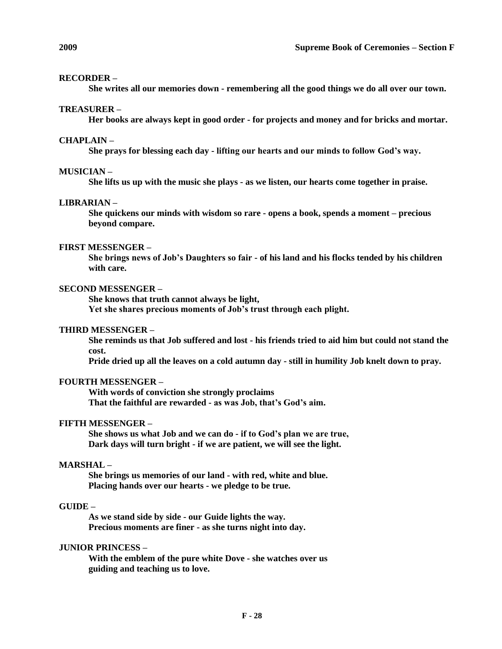## **RECORDER –**

**She writes all our memories down - remembering all the good things we do all over our town.**

## **TREASURER –**

**Her books are always kept in good order - for projects and money and for bricks and mortar.**

# **CHAPLAIN –**

**She prays for blessing each day - lifting our hearts and our minds to follow God's way.**

#### **MUSICIAN –**

**She lifts us up with the music she plays - as we listen, our hearts come together in praise.**

# **LIBRARIAN –**

**She quickens our minds with wisdom so rare - opens a book, spends a moment – precious beyond compare.**

#### **FIRST MESSENGER –**

**She brings news of Job's Daughters so fair - of his land and his flocks tended by his children with care.**

# **SECOND MESSENGER –**

**She knows that truth cannot always be light, Yet she shares precious moments of Job's trust through each plight.**

## **THIRD MESSENGER –**

**She reminds us that Job suffered and lost - his friends tried to aid him but could not stand the cost.**

**Pride dried up all the leaves on a cold autumn day - still in humility Job knelt down to pray.**

## **FOURTH MESSENGER –**

**With words of conviction she strongly proclaims That the faithful are rewarded - as was Job, that's God's aim.**

# **FIFTH MESSENGER –**

**She shows us what Job and we can do - if to God's plan we are true, Dark days will turn bright - if we are patient, we will see the light.**

# **MARSHAL –**

**She brings us memories of our land - with red, white and blue. Placing hands over our hearts - we pledge to be true.**

# **GUIDE –**

**As we stand side by side - our Guide lights the way. Precious moments are finer - as she turns night into day.**

## **JUNIOR PRINCESS –**

**With the emblem of the pure white Dove - she watches over us guiding and teaching us to love.**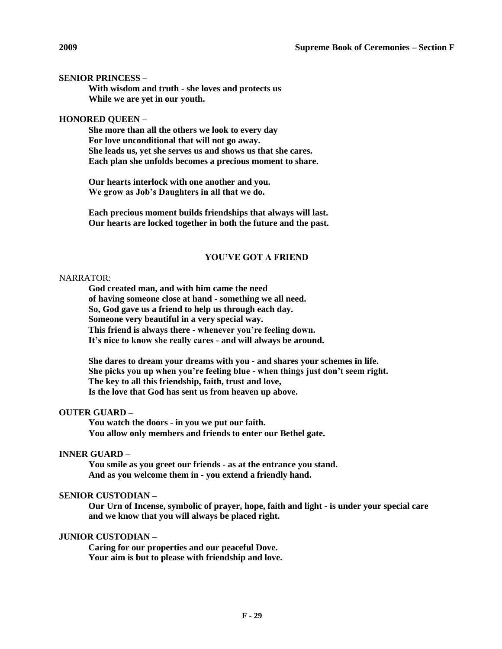# **SENIOR PRINCESS –**

**With wisdom and truth - she loves and protects us While we are yet in our youth.**

# **HONORED QUEEN –**

**She more than all the others we look to every day For love unconditional that will not go away. She leads us, yet she serves us and shows us that she cares. Each plan she unfolds becomes a precious moment to share.**

**Our hearts interlock with one another and you. We grow as Job's Daughters in all that we do.**

**Each precious moment builds friendships that always will last. Our hearts are locked together in both the future and the past.**

# **YOU'VE GOT A FRIEND**

#### NARRATOR:

**God created man, and with him came the need of having someone close at hand - something we all need. So, God gave us a friend to help us through each day. Someone very beautiful in a very special way. This friend is always there - whenever you're feeling down. It's nice to know she really cares - and will always be around.**

**She dares to dream your dreams with you - and shares your schemes in life. She picks you up when you're feeling blue - when things just don't seem right. The key to all this friendship, faith, trust and love, Is the love that God has sent us from heaven up above.**

## **OUTER GUARD –**

**You watch the doors - in you we put our faith. You allow only members and friends to enter our Bethel gate.**

## **INNER GUARD –**

**You smile as you greet our friends - as at the entrance you stand. And as you welcome them in - you extend a friendly hand.**

#### **SENIOR CUSTODIAN –**

**Our Urn of Incense, symbolic of prayer, hope, faith and light - is under your special care and we know that you will always be placed right.**

# **JUNIOR CUSTODIAN –**

**Caring for our properties and our peaceful Dove. Your aim is but to please with friendship and love.**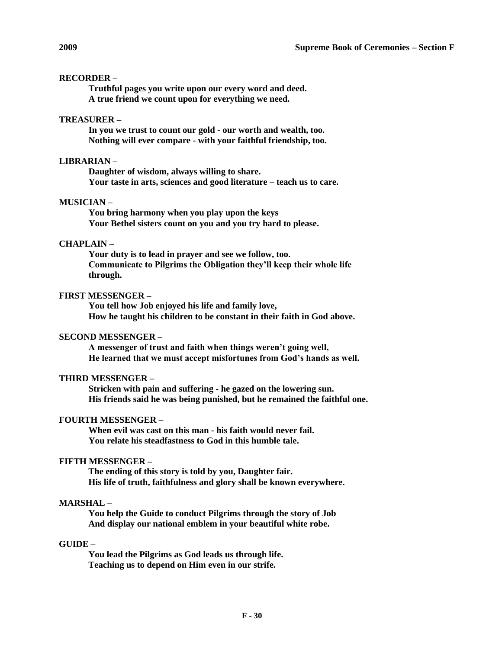# **RECORDER –**

**Truthful pages you write upon our every word and deed. A true friend we count upon for everything we need.**

# **TREASURER –**

**In you we trust to count our gold - our worth and wealth, too. Nothing will ever compare - with your faithful friendship, too.**

# **LIBRARIAN –**

**Daughter of wisdom, always willing to share. Your taste in arts, sciences and good literature – teach us to care.**

# **MUSICIAN –**

**You bring harmony when you play upon the keys Your Bethel sisters count on you and you try hard to please.**

# **CHAPLAIN –**

**Your duty is to lead in prayer and see we follow, too. Communicate to Pilgrims the Obligation they'll keep their whole life through.**

# **FIRST MESSENGER –**

**You tell how Job enjoyed his life and family love, How he taught his children to be constant in their faith in God above.**

# **SECOND MESSENGER –**

**A messenger of trust and faith when things weren't going well, He learned that we must accept misfortunes from God's hands as well.**

# **THIRD MESSENGER –**

**Stricken with pain and suffering - he gazed on the lowering sun. His friends said he was being punished, but he remained the faithful one.**

# **FOURTH MESSENGER –**

**When evil was cast on this man - his faith would never fail. You relate his steadfastness to God in this humble tale.**

# **FIFTH MESSENGER –**

**The ending of this story is told by you, Daughter fair. His life of truth, faithfulness and glory shall be known everywhere.**

# **MARSHAL –**

**You help the Guide to conduct Pilgrims through the story of Job And display our national emblem in your beautiful white robe.**

# **GUIDE –**

**You lead the Pilgrims as God leads us through life. Teaching us to depend on Him even in our strife.**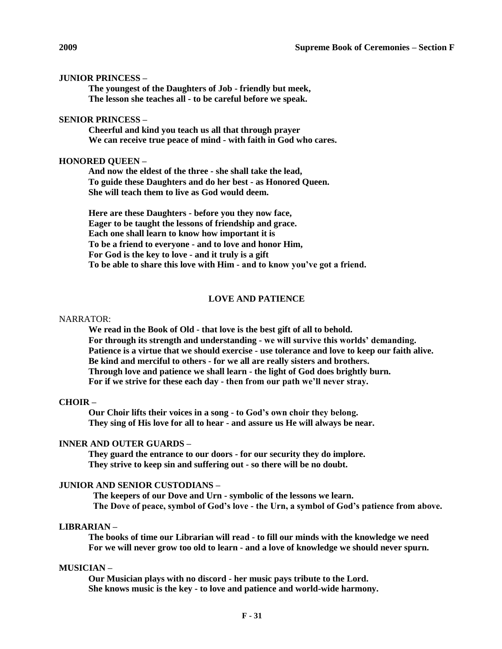## **JUNIOR PRINCESS –**

**The youngest of the Daughters of Job - friendly but meek, The lesson she teaches all - to be careful before we speak.**

## **SENIOR PRINCESS –**

**Cheerful and kind you teach us all that through prayer We can receive true peace of mind - with faith in God who cares.**

## **HONORED QUEEN –**

**And now the eldest of the three - she shall take the lead, To guide these Daughters and do her best - as Honored Queen. She will teach them to live as God would deem.**

**Here are these Daughters - before you they now face, Eager to be taught the lessons of friendship and grace. Each one shall learn to know how important it is To be a friend to everyone - and to love and honor Him, For God is the key to love - and it truly is a gift To be able to share this love with Him - and to know you've got a friend.**

## **LOVE AND PATIENCE**

## NARRATOR:

**We read in the Book of Old - that love is the best gift of all to behold. For through its strength and understanding - we will survive this worlds' demanding. Patience is a virtue that we should exercise - use tolerance and love to keep our faith alive. Be kind and merciful to others - for we all are really sisters and brothers. Through love and patience we shall learn - the light of God does brightly burn. For if we strive for these each day - then from our path we'll never stray.**

# **CHOIR –**

**Our Choir lifts their voices in a song - to God's own choir they belong. They sing of His love for all to hear - and assure us He will always be near.**

#### **INNER AND OUTER GUARDS –**

**They guard the entrance to our doors - for our security they do implore. They strive to keep sin and suffering out - so there will be no doubt.**

## **JUNIOR AND SENIOR CUSTODIANS –**

**The keepers of our Dove and Urn - symbolic of the lessons we learn. The Dove of peace, symbol of God's love - the Urn, a symbol of God's patience from above.**

# **LIBRARIAN –**

**The books of time our Librarian will read - to fill our minds with the knowledge we need For we will never grow too old to learn - and a love of knowledge we should never spurn.**

#### **MUSICIAN –**

**Our Musician plays with no discord - her music pays tribute to the Lord. She knows music is the key - to love and patience and world-wide harmony.**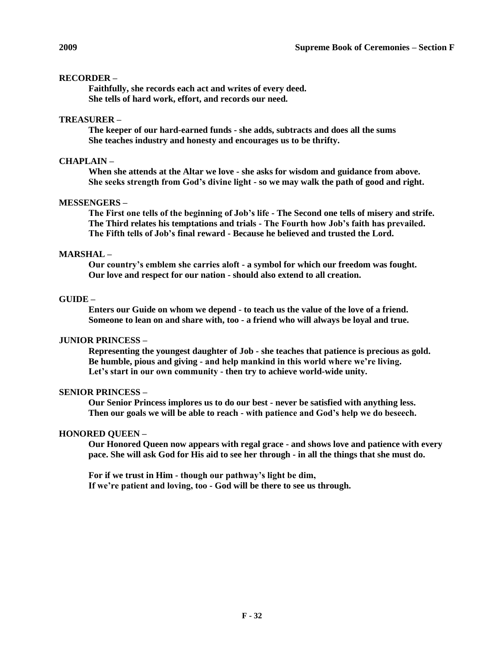# **RECORDER –**

**Faithfully, she records each act and writes of every deed. She tells of hard work, effort, and records our need.**

# **TREASURER –**

**The keeper of our hard-earned funds - she adds, subtracts and does all the sums She teaches industry and honesty and encourages us to be thrifty.**

# **CHAPLAIN –**

**When she attends at the Altar we love - she asks for wisdom and guidance from above. She seeks strength from God's divine light - so we may walk the path of good and right.**

# **MESSENGERS –**

**The First one tells of the beginning of Job's life - The Second one tells of misery and strife. The Third relates his temptations and trials - The Fourth how Job's faith has prevailed. The Fifth tells of Job's final reward - Because he believed and trusted the Lord.**

# **MARSHAL –**

**Our country's emblem she carries aloft - a symbol for which our freedom was fought. Our love and respect for our nation - should also extend to all creation.**

# **GUIDE –**

**Enters our Guide on whom we depend - to teach us the value of the love of a friend. Someone to lean on and share with, too - a friend who will always be loyal and true.**

# **JUNIOR PRINCESS –**

**Representing the youngest daughter of Job - she teaches that patience is precious as gold. Be humble, pious and giving - and help mankind in this world where we're living. Let's start in our own community - then try to achieve world-wide unity.**

# **SENIOR PRINCESS –**

**Our Senior Princess implores us to do our best - never be satisfied with anything less. Then our goals we will be able to reach - with patience and God's help we do beseech.**

# **HONORED QUEEN –**

**Our Honored Queen now appears with regal grace - and shows love and patience with every pace. She will ask God for His aid to see her through - in all the things that she must do.**

**For if we trust in Him - though our pathway's light be dim, If we're patient and loving, too - God will be there to see us through.**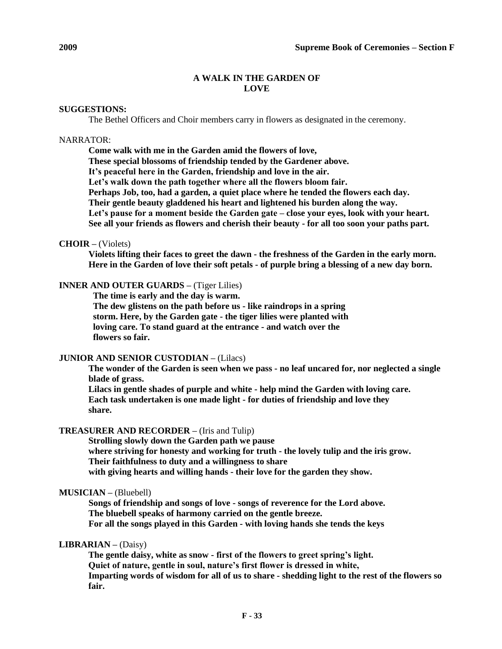# **A WALK IN THE GARDEN OF LOVE**

#### **SUGGESTIONS:**

The Bethel Officers and Choir members carry in flowers as designated in the ceremony.

## NARRATOR:

**Come walk with me in the Garden amid the flowers of love, These special blossoms of friendship tended by the Gardener above. It's peaceful here in the Garden, friendship and love in the air. Let's walk down the path together where all the flowers bloom fair. Perhaps Job, too, had a garden, a quiet place where he tended the flowers each day. Their gentle beauty gladdened his heart and lightened his burden along the way. Let's pause for a moment beside the Garden gate – close your eyes, look with your heart. See all your friends as flowers and cherish their beauty - for all too soon your paths part.**

# **CHOIR –** (Violets)

**Violets lifting their faces to greet the dawn - the freshness of the Garden in the early morn. Here in the Garden of love their soft petals - of purple bring a blessing of a new day born.**

# **INNER AND OUTER GUARDS –** (Tiger Lilies)

**The time is early and the day is warm. The dew glistens on the path before us - like raindrops in a spring storm. Here, by the Garden gate - the tiger lilies were planted with loving care. To stand guard at the entrance - and watch over the flowers so fair.**

## **JUNIOR AND SENIOR CUSTODIAN –** (Lilacs)

**The wonder of the Garden is seen when we pass - no leaf uncared for, nor neglected a single blade of grass.**

**Lilacs in gentle shades of purple and white - help mind the Garden with loving care. Each task undertaken is one made light - for duties of friendship and love they share.**

## **TREASURER AND RECORDER –** (Iris and Tulip)

**Strolling slowly down the Garden path we pause where striving for honesty and working for truth - the lovely tulip and the iris grow. Their faithfulness to duty and a willingness to share with giving hearts and willing hands - their love for the garden they show.**

## **MUSICIAN –** (Bluebell)

**Songs of friendship and songs of love - songs of reverence for the Lord above. The bluebell speaks of harmony carried on the gentle breeze. For all the songs played in this Garden - with loving hands she tends the keys**

# **LIBRARIAN –** (Daisy)

**The gentle daisy, white as snow - first of the flowers to greet spring's light. Quiet of nature, gentle in soul, nature's first flower is dressed in white, Imparting words of wisdom for all of us to share - shedding light to the rest of the flowers so fair.**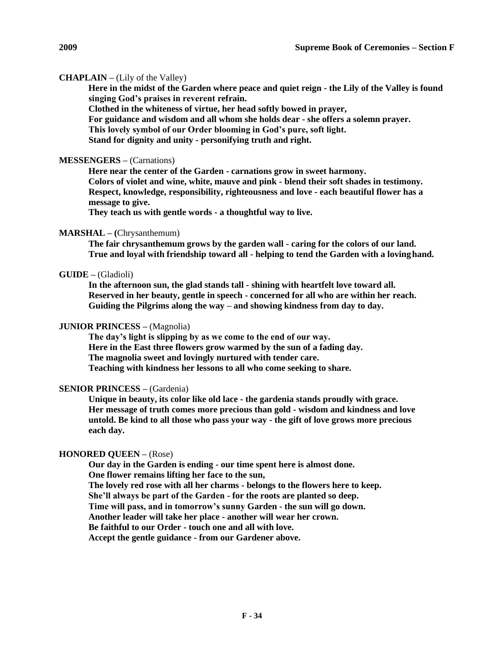# **CHAPLAIN –** (Lily of the Valley)

**Here in the midst of the Garden where peace and quiet reign - the Lily of the Valley is found singing God's praises in reverent refrain.**

**Clothed in the whiteness of virtue, her head softly bowed in prayer, For guidance and wisdom and all whom she holds dear - she offers a solemn prayer. This lovely symbol of our Order blooming in God's pure, soft light. Stand for dignity and unity - personifying truth and right.**

## **MESSENGERS –** (Carnations)

**Here near the center of the Garden - carnations grow in sweet harmony. Colors of violet and wine, white, mauve and pink - blend their soft shades in testimony. Respect, knowledge, responsibility, righteousness and love - each beautiful flower has a message to give.**

**They teach us with gentle words - a thoughtful way to live.**

### **MARSHAL – (**Chrysanthemum)

**The fair chrysanthemum grows by the garden wall - caring for the colors of our land. True and loyal with friendship toward all - helping to tend the Garden with a lovinghand.**

## **GUIDE –** (Gladioli)

**In the afternoon sun, the glad stands tall - shining with heartfelt love toward all. Reserved in her beauty, gentle in speech - concerned for all who are within her reach. Guiding the Pilgrims along the way – and showing kindness from day to day.**

## **JUNIOR PRINCESS –** (Magnolia)

**The day's light is slipping by as we come to the end of our way. Here in the East three flowers grow warmed by the sun of a fading day. The magnolia sweet and lovingly nurtured with tender care. Teaching with kindness her lessons to all who come seeking to share.**

## **SENIOR PRINCESS –** (Gardenia)

**Unique in beauty, its color like old lace - the gardenia stands proudly with grace. Her message of truth comes more precious than gold - wisdom and kindness and love untold. Be kind to all those who pass your way - the gift of love grows more precious each day.**

#### **HONORED QUEEN –** (Rose)

**Our day in the Garden is ending - our time spent here is almost done. One flower remains lifting her face to the sun, The lovely red rose with all her charms - belongs to the flowers here to keep. She'll always be part of the Garden - for the roots are planted so deep. Time will pass, and in tomorrow's sunny Garden - the sun will go down. Another leader will take her place - another will wear her crown. Be faithful to our Order - touch one and all with love. Accept the gentle guidance - from our Gardener above.**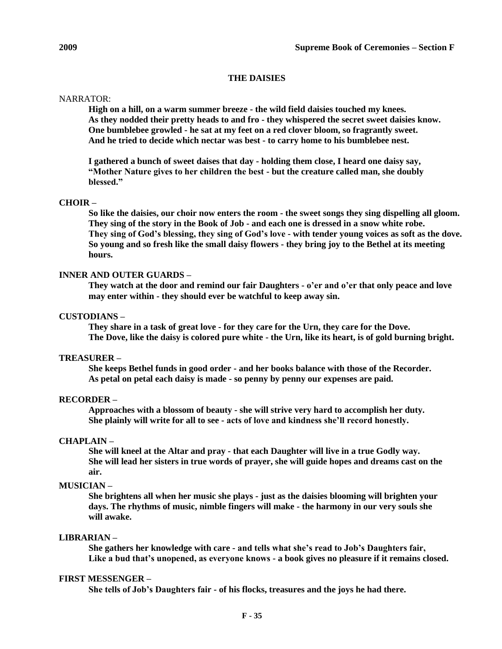## **THE DAISIES**

# NARRATOR:

**High on a hill, on a warm summer breeze - the wild field daisies touched my knees. As they nodded their pretty heads to and fro - they whispered the secret sweet daisies know. One bumblebee growled - he sat at my feet on a red clover bloom, so fragrantly sweet. And he tried to decide which nectar was best - to carry home to his bumblebee nest.**

**I gathered a bunch of sweet daises that day - holding them close, I heard one daisy say, "Mother Nature gives to her children the best - but the creature called man, she doubly blessed."**

# **CHOIR –**

**So like the daisies, our choir now enters the room - the sweet songs they sing dispelling all gloom. They sing of the story in the Book of Job - and each one is dressed in a snow white robe. They sing of God's blessing, they sing of God's love - with tender young voices as soft as the dove. So young and so fresh like the small daisy flowers - they bring joy to the Bethel at its meeting hours.**

# **INNER AND OUTER GUARDS –**

**They watch at the door and remind our fair Daughters - o'er and o'er that only peace and love may enter within - they should ever be watchful to keep away sin.**

# **CUSTODIANS –**

**They share in a task of great love - for they care for the Urn, they care for the Dove. The Dove, like the daisy is colored pure white - the Urn, like its heart, is of gold burning bright.**

#### **TREASURER –**

**She keeps Bethel funds in good order - and her books balance with those of the Recorder. As petal on petal each daisy is made - so penny by penny our expenses are paid.**

#### **RECORDER –**

**Approaches with a blossom of beauty - she will strive very hard to accomplish her duty. She plainly will write for all to see - acts of love and kindness she'll record honestly.**

#### **CHAPLAIN –**

**She will kneel at the Altar and pray - that each Daughter will live in a true Godly way. She will lead her sisters in true words of prayer, she will guide hopes and dreams cast on the air.**

# **MUSICIAN –**

**She brightens all when her music she plays - just as the daisies blooming will brighten your days. The rhythms of music, nimble fingers will make - the harmony in our very souls she will awake.**

# **LIBRARIAN –**

**She gathers her knowledge with care - and tells what she's read to Job's Daughters fair, Like a bud that's unopened, as everyone knows - a book gives no pleasure if it remains closed.**

# **FIRST MESSENGER –**

**She tells of Job's Daughters fair - of his flocks, treasures and the joys he had there.**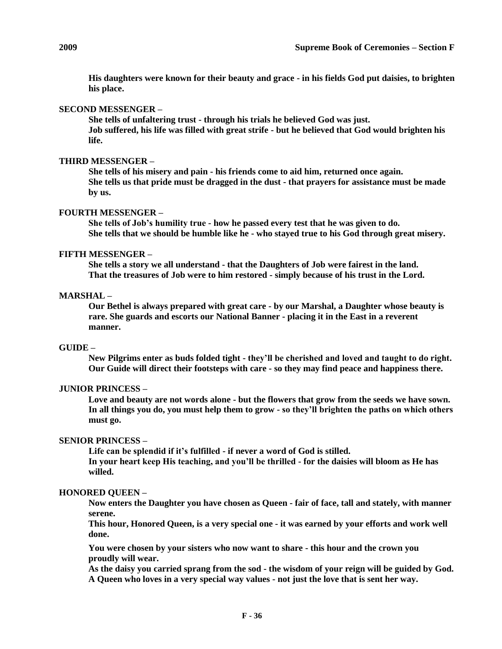**His daughters were known for their beauty and grace - in his fields God put daisies, to brighten his place.**

# **SECOND MESSENGER –**

**She tells of unfaltering trust - through his trials he believed God was just. Job suffered, his life was filled with great strife - but he believed that God would brighten his life.**

### **THIRD MESSENGER –**

**She tells of his misery and pain - his friends come to aid him, returned once again. She tells us that pride must be dragged in the dust - that prayers for assistance must be made by us.**

# **FOURTH MESSENGER –**

**She tells of Job's humility true - how he passed every test that he was given to do. She tells that we should be humble like he - who stayed true to his God through great misery.**

# **FIFTH MESSENGER –**

**She tells a story we all understand - that the Daughters of Job were fairest in the land. That the treasures of Job were to him restored - simply because of his trust in the Lord.**

### **MARSHAL –**

**Our Bethel is always prepared with great care - by our Marshal, a Daughter whose beauty is rare. She guards and escorts our National Banner - placing it in the East in a reverent manner.**

#### **GUIDE –**

**New Pilgrims enter as buds folded tight - they'll be cherished and loved and taught to do right. Our Guide will direct their footsteps with care - so they may find peace and happiness there.**

#### **JUNIOR PRINCESS –**

**Love and beauty are not words alone - but the flowers that grow from the seeds we have sown. In all things you do, you must help them to grow - so they'll brighten the paths on which others must go.**

#### **SENIOR PRINCESS –**

**Life can be splendid if it's fulfilled - if never a word of God is stilled. In your heart keep His teaching, and you'll be thrilled - for the daisies will bloom as He has willed.**

## **HONORED QUEEN –**

**Now enters the Daughter you have chosen as Queen - fair of face, tall and stately, with manner serene.**

**This hour, Honored Queen, is a very special one - it was earned by your efforts and work well done.**

**You were chosen by your sisters who now want to share - this hour and the crown you proudly will wear.**

**As the daisy you carried sprang from the sod - the wisdom of your reign will be guided by God. A Queen who loves in a very special way values - not just the love that is sent her way.**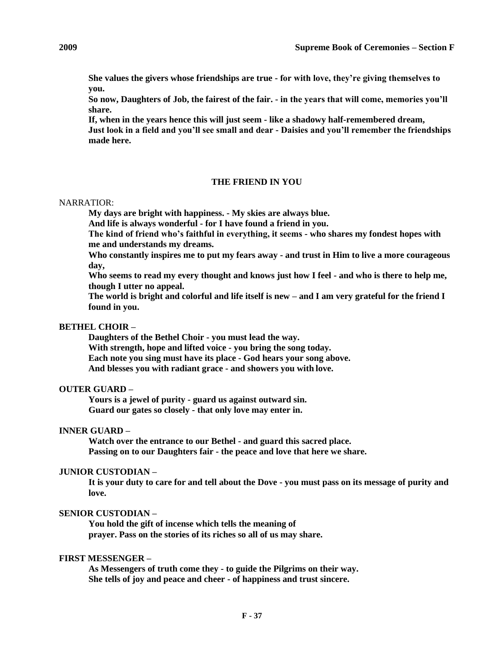**She values the givers whose friendships are true - for with love, they're giving themselves to you.**

**So now, Daughters of Job, the fairest of the fair. - in the years that will come, memories you'll share.**

**If, when in the years hence this will just seem - like a shadowy half-remembered dream, Just look in a field and you'll see small and dear - Daisies and you'll remember the friendships made here.**

# **THE FRIEND IN YOU**

# NARRATIOR:

**My days are bright with happiness. - My skies are always blue.** 

**And life is always wonderful - for I have found a friend in you.**

**The kind of friend who's faithful in everything, it seems - who shares my fondest hopes with me and understands my dreams.**

**Who constantly inspires me to put my fears away - and trust in Him to live a more courageous day,**

**Who seems to read my every thought and knows just how I feel - and who is there to help me, though I utter no appeal.**

**The world is bright and colorful and life itself is new – and I am very grateful for the friend I found in you.**

## **BETHEL CHOIR –**

**Daughters of the Bethel Choir - you must lead the way. With strength, hope and lifted voice - you bring the song today. Each note you sing must have its place - God hears your song above. And blesses you with radiant grace - and showers you with love.**

# **OUTER GUARD –**

**Yours is a jewel of purity - guard us against outward sin. Guard our gates so closely - that only love may enter in.**

## **INNER GUARD –**

**Watch over the entrance to our Bethel - and guard this sacred place. Passing on to our Daughters fair - the peace and love that here we share.**

## **JUNIOR CUSTODIAN –**

**It is your duty to care for and tell about the Dove - you must pass on its message of purity and love.**

# **SENIOR CUSTODIAN –**

**You hold the gift of incense which tells the meaning of prayer. Pass on the stories of its riches so all of us may share.**

# **FIRST MESSENGER –**

**As Messengers of truth come they - to guide the Pilgrims on their way. She tells of joy and peace and cheer - of happiness and trust sincere.**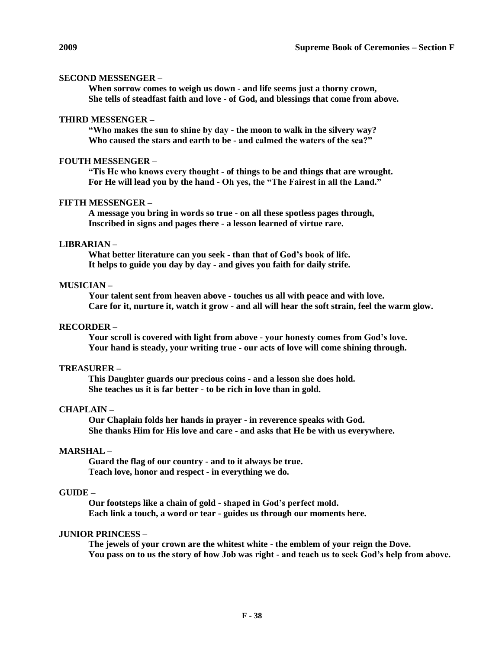## **SECOND MESSENGER –**

**When sorrow comes to weigh us down - and life seems just a thorny crown, She tells of steadfast faith and love - of God, and blessings that come from above.**

## **THIRD MESSENGER –**

**"Who makes the sun to shine by day - the moon to walk in the silvery way? Who caused the stars and earth to be - and calmed the waters of the sea?"**

### **FOUTH MESSENGER –**

**"Tis He who knows every thought - of things to be and things that are wrought. For He will lead you by the hand - Oh yes, the "The Fairest in all the Land."**

# **FIFTH MESSENGER –**

**A message you bring in words so true - on all these spotless pages through, Inscribed in signs and pages there - a lesson learned of virtue rare.**

## **LIBRARIAN –**

**What better literature can you seek - than that of God's book of life. It helps to guide you day by day - and gives you faith for daily strife.**

# **MUSICIAN –**

**Your talent sent from heaven above - touches us all with peace and with love. Care for it, nurture it, watch it grow - and all will hear the soft strain, feel the warm glow.**

#### **RECORDER –**

**Your scroll is covered with light from above - your honesty comes from God's love. Your hand is steady, your writing true - our acts of love will come shining through.**

#### **TREASURER –**

**This Daughter guards our precious coins - and a lesson she does hold. She teaches us it is far better - to be rich in love than in gold.**

#### **CHAPLAIN –**

**Our Chaplain folds her hands in prayer - in reverence speaks with God. She thanks Him for His love and care - and asks that He be with us everywhere.**

# **MARSHAL –**

**Guard the flag of our country - and to it always be true. Teach love, honor and respect - in everything we do.**

# **GUIDE –**

**Our footsteps like a chain of gold - shaped in God's perfect mold. Each link a touch, a word or tear - guides us through our moments here.**

## **JUNIOR PRINCESS –**

**The jewels of your crown are the whitest white - the emblem of your reign the Dove. You pass on to us the story of how Job was right - and teach us to seek God's help from above.**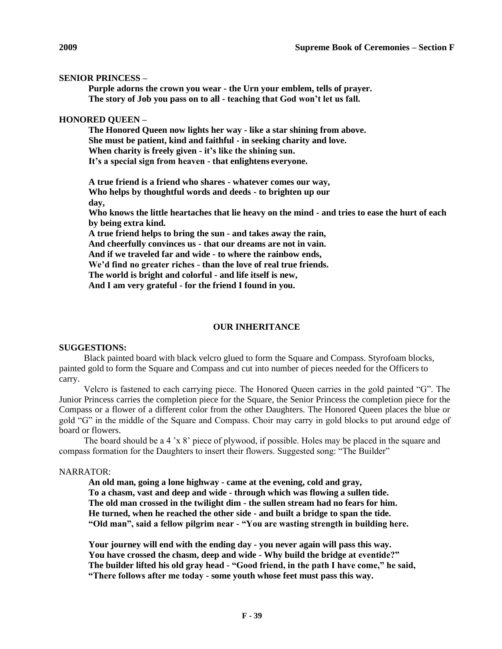## **SENIOR PRINCESS –**

**Purple adorns the crown you wear - the Urn your emblem, tells of prayer. The story of Job you pass on to all - teaching that God won't let us fall.**

## **HONORED QUEEN –**

**The Honored Queen now lights her way - like a star shining from above. She must be patient, kind and faithful - in seeking charity and love. When charity is freely given - it's like the shining sun. It's a special sign from heaven - that enlightens everyone.**

**A true friend is a friend who shares - whatever comes our way, Who helps by thoughtful words and deeds - to brighten up our day,**

**Who knows the little heartaches that lie heavy on the mind - and tries to ease the hurt of each by being extra kind.**

**A true friend helps to bring the sun - and takes away the rain, And cheerfully convinces us - that our dreams are not in vain. And if we traveled far and wide - to where the rainbow ends, We'd find no greater riches - than the love of real true friends. The world is bright and colorful - and life itself is new, And I am very grateful - for the friend I found in you.**

## **OUR INHERITANCE**

# **SUGGESTIONS:**

Black painted board with black velcro glued to form the Square and Compass. Styrofoam blocks, painted gold to form the Square and Compass and cut into number of pieces needed for the Officers to carry.

Velcro is fastened to each carrying piece. The Honored Queen carries in the gold painted "G". The Junior Princess carries the completion piece for the Square, the Senior Princess the completion piece for the Compass or a flower of a different color from the other Daughters. The Honored Queen places the blue or gold "G" in the middle of the Square and Compass. Choir may carry in gold blocks to put around edge of board or flowers.

The board should be a 4 'x 8' piece of plywood, if possible. Holes may be placed in the square and compass formation for the Daughters to insert their flowers. Suggested song: "The Builder"

#### NARRATOR:

**An old man, going a lone highway - came at the evening, cold and gray, To a chasm, vast and deep and wide - through which was flowing a sullen tide. The old man crossed in the twilight dim - the sullen stream had no fears for him. He turned, when he reached the other side - and built a bridge to span the tide. "Old man", said a fellow pilgrim near - "You are wasting strength in building here.**

**Your journey will end with the ending day - you never again will pass this way. You have crossed the chasm, deep and wide - Why build the bridge at eventide?" The builder lifted his old gray head - "Good friend, in the path I have come," he said, "There follows after me today - some youth whose feet must pass this way.**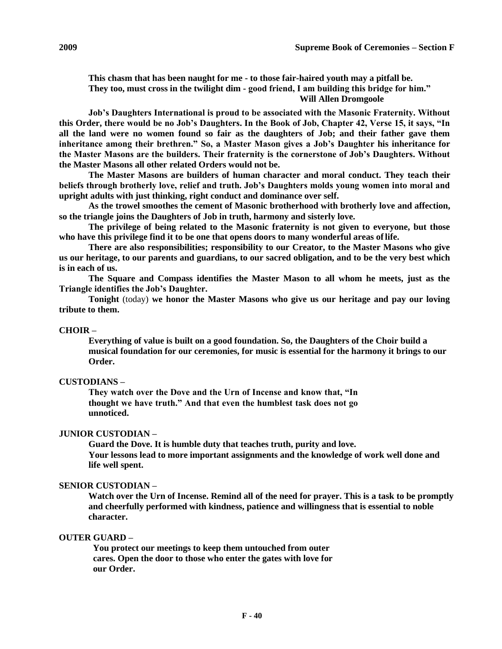**This chasm that has been naught for me - to those fair-haired youth may a pitfall be. They too, must cross in the twilight dim - good friend, I am building this bridge for him." Will Allen Dromgoole**

**Job's Daughters International is proud to be associated with the Masonic Fraternity. Without this Order, there would be no Job's Daughters. In the Book of Job, Chapter 42, Verse 15, it says, "In all the land were no women found so fair as the daughters of Job; and their father gave them inheritance among their brethren." So, a Master Mason gives a Job's Daughter his inheritance for the Master Masons are the builders. Their fraternity is the cornerstone of Job's Daughters. Without the Master Masons all other related Orders would not be.**

**The Master Masons are builders of human character and moral conduct. They teach their beliefs through brotherly love, relief and truth. Job's Daughters molds young women into moral and upright adults with just thinking, right conduct and dominance over self.**

**As the trowel smoothes the cement of Masonic brotherhood with brotherly love and affection, so the triangle joins the Daughters of Job in truth, harmony and sisterly love.**

**The privilege of being related to the Masonic fraternity is not given to everyone, but those who have this privilege find it to be one that opens doors to many wonderful areas oflife.**

**There are also responsibilities; responsibility to our Creator, to the Master Masons who give us our heritage, to our parents and guardians, to our sacred obligation, and to be the very best which is in each of us.**

**The Square and Compass identifies the Master Mason to all whom he meets, just as the Triangle identifies the Job's Daughter.**

**Tonight** (today) **we honor the Master Masons who give us our heritage and pay our loving tribute to them.**

# **CHOIR –**

**Everything of value is built on a good foundation. So, the Daughters of the Choir build a musical foundation for our ceremonies, for music is essential for the harmony it brings to our Order.**

#### **CUSTODIANS –**

**They watch over the Dove and the Urn of Incense and know that, "In thought we have truth." And that even the humblest task does not go unnoticed.**

# **JUNIOR CUSTODIAN –**

**Guard the Dove. It is humble duty that teaches truth, purity and love. Your lessons lead to more important assignments and the knowledge of work well done and life well spent.**

#### **SENIOR CUSTODIAN –**

**Watch over the Urn of Incense. Remind all of the need for prayer. This is a task to be promptly and cheerfully performed with kindness, patience and willingness that is essential to noble character.**

## **OUTER GUARD –**

**You protect our meetings to keep them untouched from outer cares. Open the door to those who enter the gates with love for our Order.**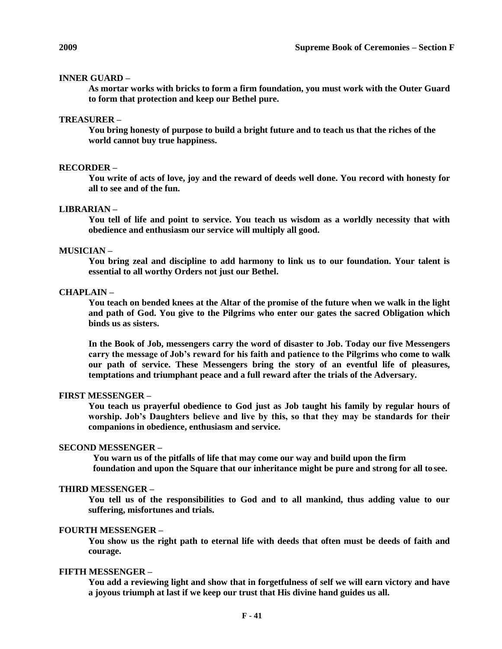## **INNER GUARD –**

**As mortar works with bricks to form a firm foundation, you must work with the Outer Guard to form that protection and keep our Bethel pure.**

#### **TREASURER –**

**You bring honesty of purpose to build a bright future and to teach us that the riches of the world cannot buy true happiness.**

# **RECORDER –**

**You write of acts of love, joy and the reward of deeds well done. You record with honesty for all to see and of the fun.**

# **LIBRARIAN –**

**You tell of life and point to service. You teach us wisdom as a worldly necessity that with obedience and enthusiasm our service will multiply all good.**

#### **MUSICIAN –**

**You bring zeal and discipline to add harmony to link us to our foundation. Your talent is essential to all worthy Orders not just our Bethel.**

#### **CHAPLAIN –**

**You teach on bended knees at the Altar of the promise of the future when we walk in the light and path of God. You give to the Pilgrims who enter our gates the sacred Obligation which binds us as sisters.**

**In the Book of Job, messengers carry the word of disaster to Job. Today our five Messengers carry the message of Job's reward for his faith and patience to the Pilgrims who come to walk our path of service. These Messengers bring the story of an eventful life of pleasures, temptations and triumphant peace and a full reward after the trials of the Adversary.**

#### **FIRST MESSENGER –**

**You teach us prayerful obedience to God just as Job taught his family by regular hours of worship. Job's Daughters believe and live by this, so that they may be standards for their companions in obedience, enthusiasm and service.**

#### **SECOND MESSENGER –**

**You warn us of the pitfalls of life that may come our way and build upon the firm foundation and upon the Square that our inheritance might be pure and strong for all to see.**

#### **THIRD MESSENGER –**

**You tell us of the responsibilities to God and to all mankind, thus adding value to our suffering, misfortunes and trials.**

#### **FOURTH MESSENGER –**

**You show us the right path to eternal life with deeds that often must be deeds of faith and courage.**

#### **FIFTH MESSENGER –**

**You add a reviewing light and show that in forgetfulness of self we will earn victory and have a joyous triumph at last if we keep our trust that His divine hand guides us all.**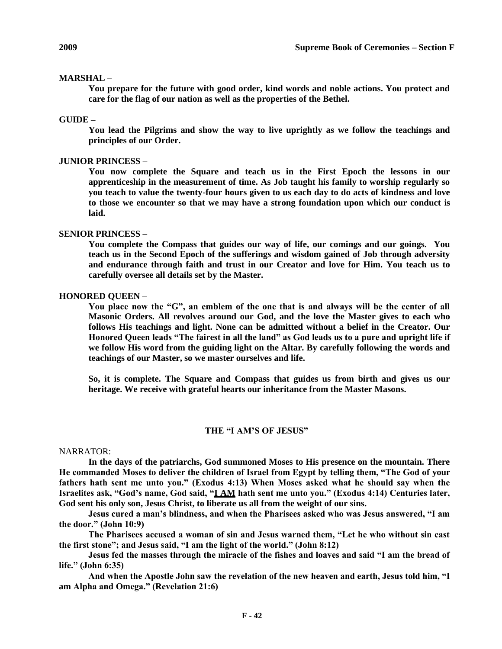#### **MARSHAL –**

**You prepare for the future with good order, kind words and noble actions. You protect and care for the flag of our nation as well as the properties of the Bethel.**

#### **GUIDE –**

**You lead the Pilgrims and show the way to live uprightly as we follow the teachings and principles of our Order.**

#### **JUNIOR PRINCESS –**

**You now complete the Square and teach us in the First Epoch the lessons in our apprenticeship in the measurement of time. As Job taught his family to worship regularly so you teach to value the twenty-four hours given to us each day to do acts of kindness and love to those we encounter so that we may have a strong foundation upon which our conduct is laid.**

## **SENIOR PRINCESS –**

**You complete the Compass that guides our way of life, our comings and our goings. You teach us in the Second Epoch of the sufferings and wisdom gained of Job through adversity and endurance through faith and trust in our Creator and love for Him. You teach us to carefully oversee all details set by the Master.**

#### **HONORED QUEEN –**

**You place now the "G", an emblem of the one that is and always will be the center of all Masonic Orders. All revolves around our God, and the love the Master gives to each who follows His teachings and light. None can be admitted without a belief in the Creator. Our Honored Queen leads "The fairest in all the land" as God leads us to a pure and upright life if we follow His word from the guiding light on the Altar. By carefully following the words and teachings of our Master, so we master ourselves and life.**

**So, it is complete. The Square and Compass that guides us from birth and gives us our heritage. We receive with grateful hearts our inheritance from the Master Masons.**

#### **THE "I AM'S OF JESUS"**

#### NARRATOR:

**In the days of the patriarchs, God summoned Moses to His presence on the mountain. There He commanded Moses to deliver the children of Israel from Egypt by telling them, "The God of your fathers hath sent me unto you." (Exodus 4:13) When Moses asked what he should say when the Israelites ask, "God's name, God said, "I AM hath sent me unto you." (Exodus 4:14) Centuries later, God sent his only son, Jesus Christ, to liberate us all from the weight of our sins.**

**Jesus cured a man's blindness, and when the Pharisees asked who was Jesus answered, "I am the door." (John 10:9)**

**The Pharisees accused a woman of sin and Jesus warned them, "Let he who without sin cast the first stone"; and Jesus said, "I am the light of the world." (John 8:12)**

**Jesus fed the masses through the miracle of the fishes and loaves and said "I am the bread of life." (John 6:35)**

**And when the Apostle John saw the revelation of the new heaven and earth, Jesus told him, "I am Alpha and Omega." (Revelation 21:6)**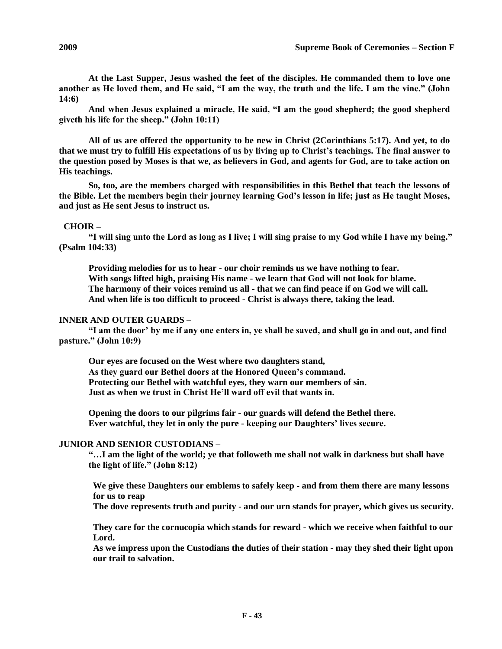**At the Last Supper, Jesus washed the feet of the disciples. He commanded them to love one another as He loved them, and He said, "I am the way, the truth and the life. I am the vine." (John 14:6)**

**And when Jesus explained a miracle, He said, "I am the good shepherd; the good shepherd giveth his life for the sheep." (John 10:11)**

**All of us are offered the opportunity to be new in Christ (2Corinthians 5:17). And yet, to do that we must try to fulfill His expectations of us by living up to Christ's teachings. The final answer to the question posed by Moses is that we, as believers in God, and agents for God, are to take action on His teachings.**

**So, too, are the members charged with responsibilities in this Bethel that teach the lessons of the Bible. Let the members begin their journey learning God's lesson in life; just as He taught Moses, and just as He sent Jesus to instruct us.**

# **CHOIR –**

**"I will sing unto the Lord as long as I live; I will sing praise to my God while I have my being." (Psalm 104:33)**

**Providing melodies for us to hear - our choir reminds us we have nothing to fear. With songs lifted high, praising His name - we learn that God will not look for blame. The harmony of their voices remind us all - that we can find peace if on God we will call. And when life is too difficult to proceed - Christ is always there, taking the lead.**

# **INNER AND OUTER GUARDS –**

**"I am the door' by me if any one enters in, ye shall be saved, and shall go in and out, and find pasture." (John 10:9)**

**Our eyes are focused on the West where two daughters stand, As they guard our Bethel doors at the Honored Queen's command. Protecting our Bethel with watchful eyes, they warn our members of sin. Just as when we trust in Christ He'll ward off evil that wants in.**

**Opening the doors to our pilgrims fair - our guards will defend the Bethel there. Ever watchful, they let in only the pure - keeping our Daughters' lives secure.**

# **JUNIOR AND SENIOR CUSTODIANS –**

**"…I am the light of the world; ye that followeth me shall not walk in darkness but shall have the light of life." (John 8:12)**

**We give these Daughters our emblems to safely keep - and from them there are many lessons for us to reap**

**The dove represents truth and purity - and our urn stands for prayer, which gives us security.**

**They care for the cornucopia which stands for reward - which we receive when faithful to our Lord.**

**As we impress upon the Custodians the duties of their station - may they shed their light upon our trail to salvation.**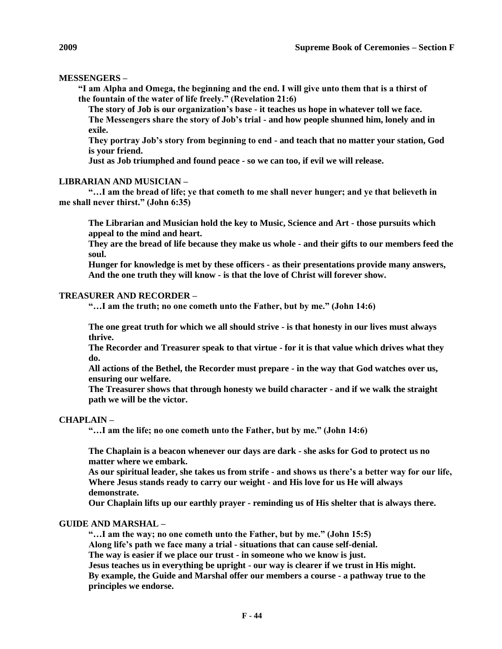## **MESSENGERS –**

**"I am Alpha and Omega, the beginning and the end. I will give unto them that is a thirst of the fountain of the water of life freely." (Revelation 21:6)**

**The story of Job is our organization's base - it teaches us hope in whatever toll we face. The Messengers share the story of Job's trial - and how people shunned him, lonely and in exile.**

**They portray Job's story from beginning to end - and teach that no matter your station, God is your friend.**

**Just as Job triumphed and found peace - so we can too, if evil we will release.**

#### **LIBRARIAN AND MUSICIAN –**

**"…I am the bread of life; ye that cometh to me shall never hunger; and ye that believeth in me shall never thirst." (John 6:35)**

**The Librarian and Musician hold the key to Music, Science and Art - those pursuits which appeal to the mind and heart.**

**They are the bread of life because they make us whole - and their gifts to our members feed the soul.**

**Hunger for knowledge is met by these officers - as their presentations provide many answers, And the one truth they will know - is that the love of Christ will forever show.**

#### **TREASURER AND RECORDER –**

**"…I am the truth; no one cometh unto the Father, but by me." (John 14:6)**

**The one great truth for which we all should strive - is that honesty in our lives must always thrive.**

**The Recorder and Treasurer speak to that virtue - for it is that value which drives what they do.**

**All actions of the Bethel, the Recorder must prepare - in the way that God watches over us, ensuring our welfare.**

**The Treasurer shows that through honesty we build character - and if we walk the straight path we will be the victor.**

### **CHAPLAIN –**

**"…I am the life; no one cometh unto the Father, but by me." (John 14:6)**

**The Chaplain is a beacon whenever our days are dark - she asks for God to protect us no matter where we embark.**

**As our spiritual leader, she takes us from strife - and shows us there's a better way for our life, Where Jesus stands ready to carry our weight - and His love for us He will always demonstrate.**

**Our Chaplain lifts up our earthly prayer - reminding us of His shelter that is always there.**

## **GUIDE AND MARSHAL –**

**"…I am the way; no one cometh unto the Father, but by me." (John 15:5) Along life's path we face many a trial - situations that can cause self-denial. The way is easier if we place our trust - in someone who we know is just. Jesus teaches us in everything be upright - our way is clearer if we trust in His might. By example, the Guide and Marshal offer our members a course - a pathway true to the principles we endorse.**